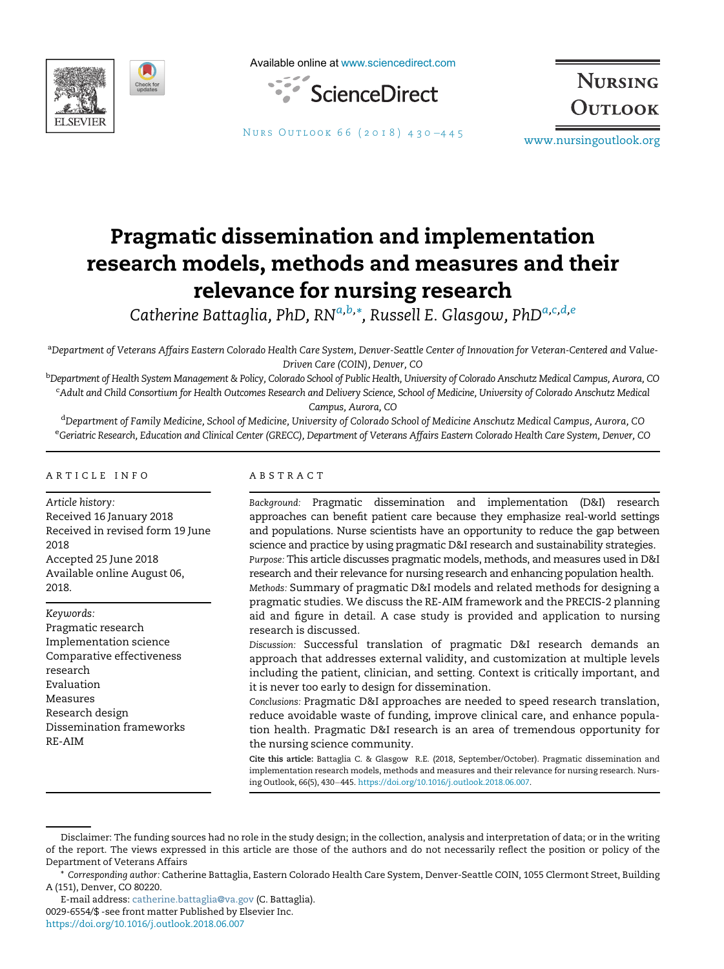

Available online at [www.sciencedirect.com](http://www.sciencedirect.com)



**NURSING** OUTLOOK

NURS OUTLOOK 66 (2018) 430 -[445](https://doi.org/10.1016/j.outlook.2018.06.007) [www.nursingoutlook.org](http://www.nursingoutlook.org)

# Pragmatic dissemination and implementation research models, methods and measures and their relevance for nursing research

Catherine Battagli[a,](#page-0-0) PhD, RN<sup>a,[b](#page-0-1),</sup>\*, Russell E. Gl[a](#page-0-0)sgow, PhD<sup>a[,c](#page-0-2),[d](#page-0-3),[e](#page-0-4)</sup>

<span id="page-0-0"></span>a<br>Department of Veterans Affairs Eastern Colorado Health Care System, Denver-Seattle Center of Innovation for Veteran-Centered and Value-Driven Care (COIN), Denver, CO

<span id="page-0-2"></span><span id="page-0-1"></span><sup>b</sup>Department of Health System Management & Policy, Colorado School of Public Health, University of Colorado Anschutz Medical Campus, Aurora, CO c Adult and Child Consortium for Health Outcomes Research and Delivery Science, School of Medicine, University of Colorado Anschutz Medical

Campus, Aurora, CO

<span id="page-0-4"></span><span id="page-0-3"></span><sup>d</sup>Department of Family Medicine, School of Medicine, University of Colorado School of Medicine Anschutz Medical Campus, Aurora, CC eGeriatric Research, Education and Clinical Center (GRECC), Department of Veterans Affairs Eastern Colorado Health Care System, Denver, CO $^2$ 

## ARTICLE INFO

Article history: Received 16 January 2018 Received in revised form 19 June 2018 Accepted 25 June 2018 Available online August 06, 2018.

Keywords: Pragmatic research Implementation science Comparative effectiveness research Evaluation Measures Research design Dissemination frameworks RE-AIM

## ABSTRACT

Background: Pragmatic dissemination and implementation (D&I) research approaches can benefit patient care because they emphasize real-world settings and populations. Nurse scientists have an opportunity to reduce the gap between science and practice by using pragmatic D&I research and sustainability strategies. Purpose: This article discusses pragmatic models, methods, and measures used in D&I research and their relevance for nursing research and enhancing population health.

Methods: Summary of pragmatic D&I models and related methods for designing a pragmatic studies. We discuss the RE-AIM framework and the PRECIS-2 planning aid and figure in detail. A case study is provided and application to nursing research is discussed.

Discussion: Successful translation of pragmatic D&I research demands an approach that addresses external validity, and customization at multiple levels including the patient, clinician, and setting. Context is critically important, and it is never too early to design for dissemination.

Conclusions: Pragmatic D&I approaches are needed to speed research translation, reduce avoidable waste of funding, improve clinical care, and enhance population health. Pragmatic D&I research is an area of tremendous opportunity for the nursing science community.

Cite this article: Battaglia C. & Glasgow R.E. (2018, September/October). Pragmatic dissemination and implementation research models, methods and measures and their relevance for nursing research. Nursing Outlook, 66(5), 430445. [https://doi.org/10.1016/j.outlook.2018.06.007.](https://doi.org/10.1016/j.outlook.2018.06.007)

Disclaimer: The funding sources had no role in the study design; in the collection, analysis and interpretation of data; or in the writing of the report. The views expressed in this article are those of the authors and do not necessarily reflect the position or policy of the Department of Veterans Affairs

<sup>\*</sup> Corresponding author: Catherine Battaglia, Eastern Colorado Health Care System, Denver-Seattle COIN, 1055 Clermont Street, Building A (151), Denver, CO 80220.

E-mail address: [catherine.battaglia@va.gov](mailto:catherine.battaglia@va.gov) (C. Battaglia). 0029-6554/\$ -see front matter Published by Elsevier Inc. <https://doi.org/10.1016/j.outlook.2018.06.007>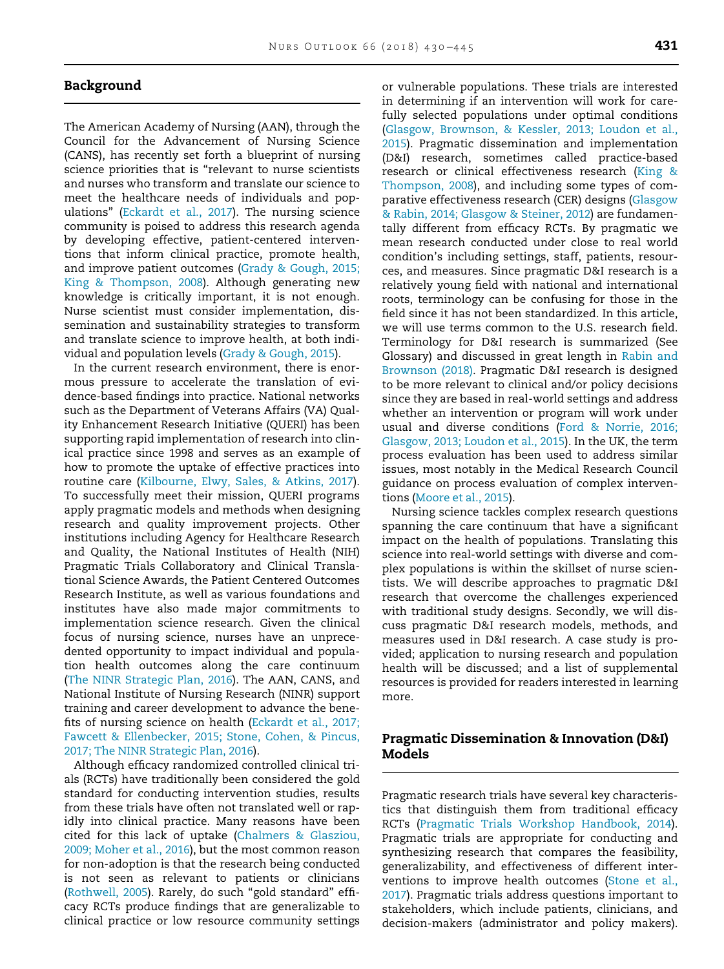## Background

The American Academy of Nursing (AAN), through the Council for the Advancement of Nursing Science (CANS), has recently set forth a blueprint of nursing science priorities that is "relevant to nurse scientists and nurses who transform and translate our science to meet the healthcare needs of individuals and populations" [\(Eckardt et al., 2017\)](#page-13-0). The nursing science community is poised to address this research agenda by developing effective, patient-centered interventions that inform clinical practice, promote health, and improve patient outcomes ([Grady & Gough, 2015;](#page-13-1) [King & Thompson, 2008\)](#page-13-1). Although generating new knowledge is critically important, it is not enough. Nurse scientist must consider implementation, dissemination and sustainability strategies to transform and translate science to improve health, at both individual and population levels [\(Grady & Gough, 2015\)](#page-13-1).

In the current research environment, there is enormous pressure to accelerate the translation of evidence-based findings into practice. National networks such as the Department of Veterans Affairs (VA) Quality Enhancement Research Initiative (QUERI) has been supporting rapid implementation of research into clinical practice since 1998 and serves as an example of how to promote the uptake of effective practices into routine care [\(Kilbourne, Elwy, Sales, & Atkins, 2017\)](#page-14-0). To successfully meet their mission, QUERI programs apply pragmatic models and methods when designing research and quality improvement projects. Other institutions including Agency for Healthcare Research and Quality, the National Institutes of Health (NIH) Pragmatic Trials Collaboratory and Clinical Translational Science Awards, the Patient Centered Outcomes Research Institute, as well as various foundations and institutes have also made major commitments to implementation science research. Given the clinical focus of nursing science, nurses have an unprecedented opportunity to impact individual and population health outcomes along the care continuum ([The NINR Strategic Plan, 2016\)](#page-15-0). The AAN, CANS, and National Institute of Nursing Research (NINR) support training and career development to advance the benefits of nursing science on health ([Eckardt et al., 2017;](#page-13-0) [Fawcett & Ellenbecker, 2015; Stone, Cohen, & Pincus,](#page-13-0) [2017; The NINR Strategic Plan, 2016\)](#page-13-0).

Although efficacy randomized controlled clinical trials (RCTs) have traditionally been considered the gold standard for conducting intervention studies, results from these trials have often not translated well or rapidly into clinical practice. Many reasons have been cited for this lack of uptake ([Chalmers & Glasziou,](#page-13-2) [2009; Moher et al., 2016](#page-13-2)), but the most common reason for non-adoption is that the research being conducted is not seen as relevant to patients or clinicians ([Rothwell, 2005](#page-15-1)). Rarely, do such "gold standard" efficacy RCTs produce findings that are generalizable to clinical practice or low resource community settings or vulnerable populations. These trials are interested in determining if an intervention will work for carefully selected populations under optimal conditions ([Glasgow, Brownson, & Kessler, 2013; Loudon et al.,](#page-13-3) [2015\)](#page-13-3). Pragmatic dissemination and implementation (D&I) research, sometimes called practice-based research or clinical effectiveness research ([King &](#page-14-1) [Thompson, 2008\)](#page-14-1), and including some types of comparative effectiveness research (CER) designs ([Glasgow](#page-13-4) [& Rabin, 2014; Glasgow & Steiner, 2012](#page-13-4)) are fundamentally different from efficacy RCTs. By pragmatic we mean research conducted under close to real world condition's including settings, staff, patients, resources, and measures. Since pragmatic D&I research is a relatively young field with national and international roots, terminology can be confusing for those in the field since it has not been standardized. In this article, we will use terms common to the U.S. research field. Terminology for D&I research is summarized (See Glossary) and discussed in great length in [Rabin and](#page-14-2) [Brownson \(2018\)](#page-14-2). Pragmatic D&I research is designed to be more relevant to clinical and/or policy decisions since they are based in real-world settings and address whether an intervention or program will work under usual and diverse conditions [\(Ford & Norrie, 2016;](#page-13-5) [Glasgow, 2013; Loudon et al., 2015](#page-13-5)). In the UK, the term process evaluation has been used to address similar issues, most notably in the Medical Research Council guidance on process evaluation of complex interventions ([Moore et al., 2015](#page-14-3)).

Nursing science tackles complex research questions spanning the care continuum that have a significant impact on the health of populations. Translating this science into real-world settings with diverse and complex populations is within the skillset of nurse scientists. We will describe approaches to pragmatic D&I research that overcome the challenges experienced with traditional study designs. Secondly, we will discuss pragmatic D&I research models, methods, and measures used in D&I research. A case study is provided; application to nursing research and population health will be discussed; and a list of supplemental resources is provided for readers interested in learning more.

# Pragmatic Dissemination & Innovation (D&I) Models

Pragmatic research trials have several key characteristics that distinguish them from traditional efficacy RCTs [\(Pragmatic Trials Workshop Handbook, 2014\)](#page-14-4). Pragmatic trials are appropriate for conducting and synthesizing research that compares the feasibility, generalizability, and effectiveness of different interventions to improve health outcomes [\(Stone et al.,](#page-15-2) [2017\)](#page-15-2). Pragmatic trials address questions important to stakeholders, which include patients, clinicians, and decision-makers (administrator and policy makers).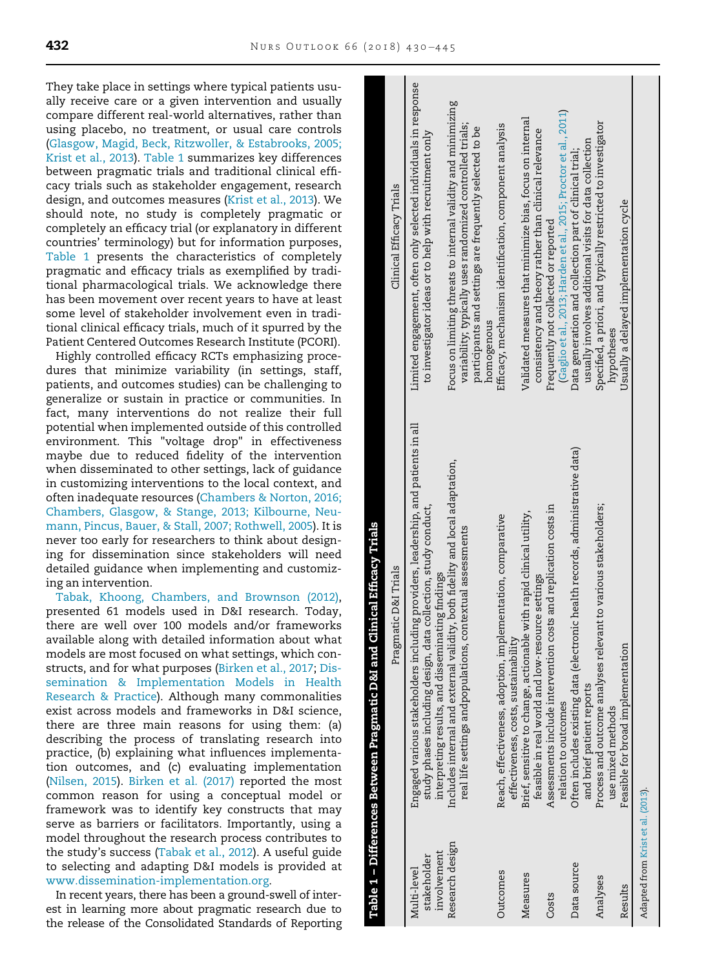Table 1 - Differences Between Pragmatic D&I and Clinical Efficacy Trials

<span id="page-2-0"></span>They take place in settings where typical patients usually receive care or a given intervention and usually compare different real-world alternatives, rather than using placebo, no treatment, or usual care controls ([Glasgow, Magid, Beck, Ritzwoller, & Estabrooks, 2005;](#page-13-6) [Krist et al., 2013](#page-13-6)). [Table 1](#page-2-0) summarizes key differences between pragmatic trials and traditional clinical efficacy trials such as stakeholder engagement, research design, and outcomes measures ([Krist et al., 2013\)](#page-14-5). We should note, no study is completely pragmatic or completely an efficacy trial (or explanatory in different countries' terminology) but for information purposes, [Table 1](#page-2-0) presents the characteristics of completely pragmatic and efficacy trials as exemplified by traditional pharmacological trials. We acknowledge there has been movement over recent years to have at least some level of stakeholder involvement even in traditional clinical efficacy trials, much of it spurred by the Patient Centered Outcomes Research Institute (PCORI).

Highly controlled efficacy RCTs emphasizing procedures that minimize variability (in settings, staff, patients, and outcomes studies) can be challenging to generalize or sustain in practice or communities. In fact, many interventions do not realize their full potential when implemented outside of this controlled environment. This "voltage drop" in effectiveness maybe due to reduced fidelity of the intervention when disseminated to other settings, lack of guidance in customizing interventions to the local context, and often inadequate resources ([Chambers & Norton, 2016;](#page-13-7) [Chambers, Glasgow, & Stange, 2013; Kilbourne, Neu](#page-13-7)[mann, Pincus, Bauer, & Stall, 2007; Rothwell, 2005\)](#page-13-7). It is never too early for researchers to think about designing for dissemination since stakeholders will need detailed guidance when implementing and customizing an intervention.

[Tabak, Khoong, Chambers, and Brownson \(2012\),](#page-15-3) presented 61 models used in D&I research. Today, there are well over 100 models and/or frameworks available along with detailed information about what models are most focused on what settings, which constructs, and for what purposes ([Birken et al., 2017;](#page-12-0) [Dis](#page-13-8)[semination & Implementation Models in Health](#page-13-8) [Research & Practice\)](#page-13-8). Although many commonalities exist across models and frameworks in D&I science, there are three main reasons for using them: (a) describing the process of translating research into practice, (b) explaining what influences implementation outcomes, and (c) evaluating implementation ([Nilsen, 2015\)](#page-14-6). [Birken et al. \(2017\)](#page-12-0) reported the most common reason for using a conceptual model or framework was to identify key constructs that may serve as barriers or facilitators. Importantly, using a model throughout the research process contributes to the study's success ([Tabak et al., 2012](#page-15-3)). A useful guide to selecting and adapting D&I models is provided at [www.dissemination-implementation.org](http://www.dissemination-implementation.org).

In recent years, there has been a ground-swell of interest in learning more about pragmatic research due to the release of the Consolidated Standards of Reporting

|                                           | Table 1 - Differences Between Pragmatic D&I and Clinical Efficacy Trials                                                                                                                                   |                                                                                                                                                                                                     |
|-------------------------------------------|------------------------------------------------------------------------------------------------------------------------------------------------------------------------------------------------------------|-----------------------------------------------------------------------------------------------------------------------------------------------------------------------------------------------------|
|                                           | Pragmatic D&I Trials                                                                                                                                                                                       | Clinical Efficacy Trials                                                                                                                                                                            |
| involvement<br>stakeholder<br>Multi-level | Engaged various stakeholders including providers, leadership, and patients in all<br>collection, study conduct,<br>interpreting results, and disseminating findings<br>study phases including design, data | Limited engagement, often only selected individuals in response<br>to investigator ideas or to help with recruitment only                                                                           |
| Research design                           | Includes internal and external validity, both fidelity and local adaptation,<br>real life settings andpopulations, contextual assessments                                                                  | Focus on limiting threats to internal validity and minimizing<br>variability; typically uses randomized controlled trials;<br>participants and settings are frequently selected to be<br>homogenous |
| Outcomes                                  | Reach, effectiveness, adoption, implementation, comparative<br>effectiveness, costs, sustainability                                                                                                        | Efficacy, mechanism identification, component analysis                                                                                                                                              |
| Measures                                  | with rapid clinical utility,<br>feasible in real world and low-resource settings<br>Brief, sensitive to change, actionable v                                                                               | Validated measures that minimize bias, focus on internal<br>consistency and theory rather than clinical relevance                                                                                   |
| Costs                                     | Assessments include intervention costs and replication costs in<br>relation to outcomes                                                                                                                    | (Gaglio et al., 2013; Harden et al., 2015; Proctor et al., 2011)<br>Frequently not collected or reported                                                                                            |
| Data source                               | Often includes existing data (electronic health records, administrative data)<br>and brief patient reports                                                                                                 | usually involves additional visits for data collection<br>Data generation and collection part of clinical trial;                                                                                    |
| Analyses                                  | Process and outcome analyses relevant to various stakeholders;<br>use mixed methods                                                                                                                        | Specified, a priori, and typically restricted to investigator<br>hypotheses                                                                                                                         |
| Results                                   | Feasible for broad implementation                                                                                                                                                                          | Usually a delayed implementation cycle                                                                                                                                                              |
| Adapted from Krist et al. (2013).         |                                                                                                                                                                                                            |                                                                                                                                                                                                     |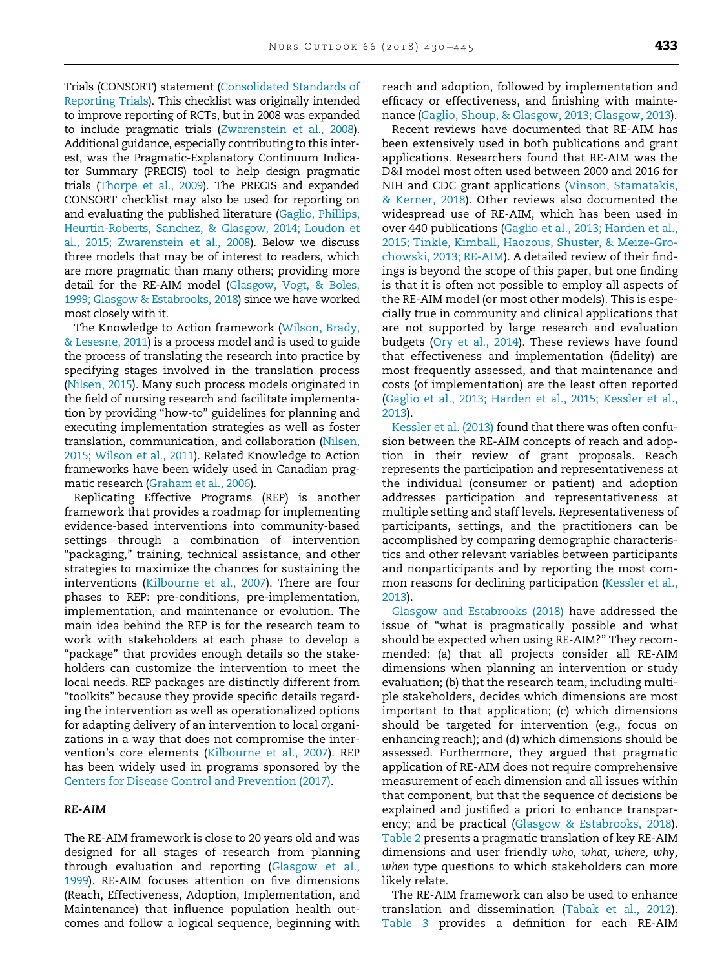Trials (CONSORT) statement [\(Consolidated Standards of](#page-13-10) [Reporting Trials\)](#page-13-10). This checklist was originally intended to improve reporting of RCTs, but in 2008 was expanded to include pragmatic trials [\(Zwarenstein et al., 2008\)](#page-15-4). Additional guidance, especially contributing to this interest, was the Pragmatic-Explanatory Continuum Indicator Summary (PRECIS) tool to help design pragmatic trials [\(Thorpe et al., 2009\)](#page-15-5). The PRECIS and expanded CONSORT checklist may also be used for reporting on and evaluating the published literature ([Gaglio, Phillips,](#page-13-11) [Heurtin-Roberts, Sanchez, & Glasgow, 2014; Loudon et](#page-13-11) [al., 2015; Zwarenstein et al., 2008](#page-13-11)). Below we discuss three models that may be of interest to readers, which are more pragmatic than many others; providing more detail for the RE-AIM model [\(Glasgow, Vogt, & Boles,](#page-13-12) [1999; Glasgow & Estabrooks, 2018](#page-13-12)) since we have worked most closely with it.

The Knowledge to Action framework ([Wilson, Brady,](#page-15-6) [& Lesesne, 2011](#page-15-6)) is a process model and is used to guide the process of translating the research into practice by specifying stages involved in the translation process ([Nilsen, 2015\)](#page-14-6). Many such process models originated in the field of nursing research and facilitate implementation by providing "how-to" guidelines for planning and executing implementation strategies as well as foster translation, communication, and collaboration ([Nilsen,](#page-14-6) [2015; Wilson et al., 2011\)](#page-14-6). Related Knowledge to Action frameworks have been widely used in Canadian pragmatic research ([Graham et al., 2006](#page-13-13)).

Replicating Effective Programs (REP) is another framework that provides a roadmap for implementing evidence-based interventions into community-based settings through a combination of intervention "packaging," training, technical assistance, and other strategies to maximize the chances for sustaining the interventions ([Kilbourne et al., 2007\)](#page-14-7). There are four phases to REP: pre-conditions, pre-implementation, implementation, and maintenance or evolution. The main idea behind the REP is for the research team to work with stakeholders at each phase to develop a "package" that provides enough details so the stakeholders can customize the intervention to meet the local needs. REP packages are distinctly different from "toolkits" because they provide specific details regarding the intervention as well as operationalized options for adapting delivery of an intervention to local organizations in a way that does not compromise the intervention's core elements ([Kilbourne et al., 2007](#page-14-7)). REP has been widely used in programs sponsored by the [Centers for Disease Control and Prevention \(2017\)](#page-13-14).

#### RE-AIM

The RE-AIM framework is close to 20 years old and was designed for all stages of research from planning through evaluation and reporting ([Glasgow et al.,](#page-13-12) [1999\)](#page-13-12). RE-AIM focuses attention on five dimensions (Reach, Effectiveness, Adoption, Implementation, and Maintenance) that influence population health outcomes and follow a logical sequence, beginning with

reach and adoption, followed by implementation and efficacy or effectiveness, and finishing with maintenance [\(Gaglio, Shoup, & Glasgow, 2013; Glasgow, 2013](#page-13-9)).

Recent reviews have documented that RE-AIM has been extensively used in both publications and grant applications. Researchers found that RE-AIM was the D&I model most often used between 2000 and 2016 for NIH and CDC grant applications [\(Vinson, Stamatakis,](#page-15-7) [& Kerner, 2018](#page-15-7)). Other reviews also documented the widespread use of RE-AIM, which has been used in over 440 publications ([Gaglio et al., 2013; Harden et al.,](#page-13-9) [2015; Tinkle, Kimball, Haozous, Shuster, & Meize-Gro](#page-13-9)[chowski, 2013; RE-AIM](#page-13-9)). A detailed review of their findings is beyond the scope of this paper, but one finding is that it is often not possible to employ all aspects of the RE-AIM model (or most other models). This is especially true in community and clinical applications that are not supported by large research and evaluation budgets [\(Ory et al., 2014](#page-14-8)). These reviews have found that effectiveness and implementation (fidelity) are most frequently assessed, and that maintenance and costs (of implementation) are the least often reported ([Gaglio et al., 2013; Harden et al., 2015; Kessler et al.,](#page-13-9) [2013\)](#page-13-9).

[Kessler et al. \(2013\)](#page-14-9) found that there was often confusion between the RE-AIM concepts of reach and adoption in their review of grant proposals. Reach represents the participation and representativeness at the individual (consumer or patient) and adoption addresses participation and representativeness at multiple setting and staff levels. Representativeness of participants, settings, and the practitioners can be accomplished by comparing demographic characteristics and other relevant variables between participants and nonparticipants and by reporting the most com-mon reasons for declining participation [\(Kessler et al.,](#page-14-9) [2013\)](#page-14-9).

[Glasgow and Estabrooks \(2018\)](#page-13-15) have addressed the issue of "what is pragmatically possible and what should be expected when using RE-AIM?" They recommended: (a) that all projects consider all RE-AIM dimensions when planning an intervention or study evaluation; (b) that the research team, including multiple stakeholders, decides which dimensions are most important to that application; (c) which dimensions should be targeted for intervention (e.g., focus on enhancing reach); and (d) which dimensions should be assessed. Furthermore, they argued that pragmatic application of RE-AIM does not require comprehensive measurement of each dimension and all issues within that component, but that the sequence of decisions be explained and justified a priori to enhance transparency; and be practical [\(Glasgow & Estabrooks, 2018\)](#page-13-15). [Table 2](#page-4-0) presents a pragmatic translation of key RE-AIM dimensions and user friendly who, what, where, why, when type questions to which stakeholders can more likely relate.

The RE-AIM framework can also be used to enhance translation and dissemination [\(Tabak et al., 2012\)](#page-15-3). [Table 3](#page-5-0) provides a definition for each RE-AIM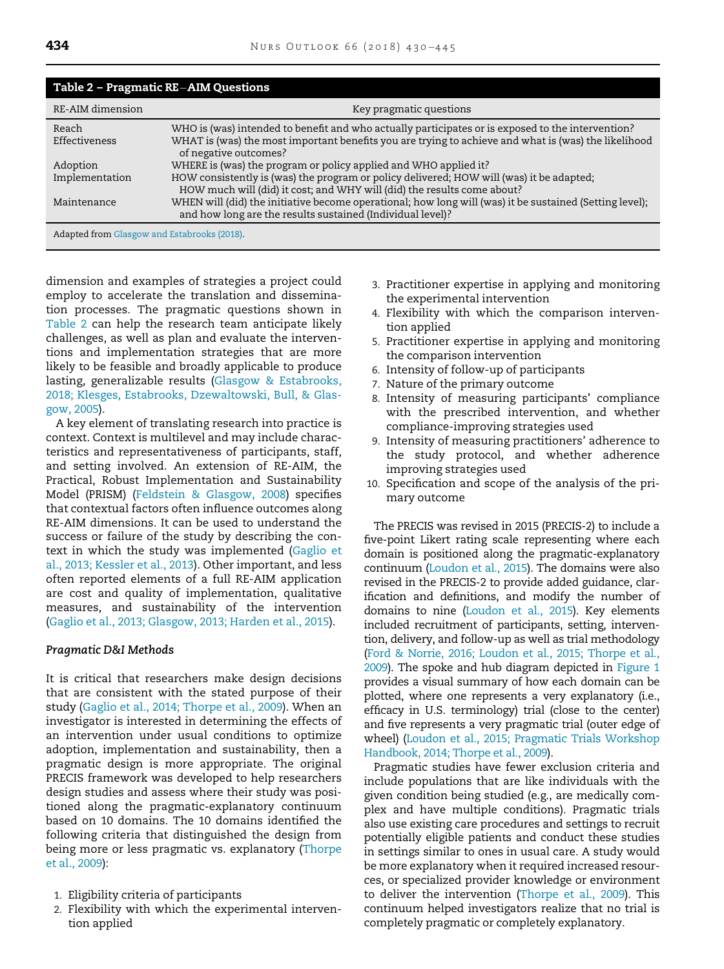<span id="page-4-0"></span>

| Table 2 - Pragmatic RE-AIM Questions        |                                                                                                                                                                       |  |  |  |
|---------------------------------------------|-----------------------------------------------------------------------------------------------------------------------------------------------------------------------|--|--|--|
| RE-AIM dimension                            | Key pragmatic questions                                                                                                                                               |  |  |  |
| Reach                                       | WHO is (was) intended to benefit and who actually participates or is exposed to the intervention?                                                                     |  |  |  |
| Effectiveness                               | WHAT is (was) the most important benefits you are trying to achieve and what is (was) the likelihood<br>of negative outcomes?                                         |  |  |  |
| Adoption                                    | WHERE is (was) the program or policy applied and WHO applied it?                                                                                                      |  |  |  |
| Implementation                              | HOW consistently is (was) the program or policy delivered; HOW will (was) it be adapted;<br>HOW much will (did) it cost; and WHY will (did) the results come about?   |  |  |  |
| Maintenance                                 | WHEN will (did) the initiative become operational; how long will (was) it be sustained (Setting level);<br>and how long are the results sustained (Individual level)? |  |  |  |
| Adapted from Glasgow and Estabrooks (2018). |                                                                                                                                                                       |  |  |  |

dimension and examples of strategies a project could employ to accelerate the translation and dissemination processes. The pragmatic questions shown in [Table 2](#page-4-0) can help the research team anticipate likely challenges, as well as plan and evaluate the interventions and implementation strategies that are more likely to be feasible and broadly applicable to produce lasting, generalizable results [\(Glasgow & Estabrooks,](#page-13-15) [2018; Klesges, Estabrooks, Dzewaltowski, Bull, & Glas](#page-13-15)[gow, 2005\)](#page-13-15).

A key element of translating research into practice is context. Context is multilevel and may include characteristics and representativeness of participants, staff, and setting involved. An extension of RE-AIM, the Practical, Robust Implementation and Sustainability Model (PRISM) ([Feldstein & Glasgow, 2008\)](#page-13-16) specifies that contextual factors often influence outcomes along RE-AIM dimensions. It can be used to understand the success or failure of the study by describing the context in which the study was implemented [\(Gaglio et](#page-13-9) [al., 2013; Kessler et al., 2013\)](#page-13-9). Other important, and less often reported elements of a full RE-AIM application are cost and quality of implementation, qualitative measures, and sustainability of the intervention ([Gaglio et al., 2013; Glasgow, 2013; Harden et al., 2015\)](#page-13-9).

## Pragmatic D&I Methods

It is critical that researchers make design decisions that are consistent with the stated purpose of their study ([Gaglio et al., 2014; Thorpe et al., 2009](#page-13-11)). When an investigator is interested in determining the effects of an intervention under usual conditions to optimize adoption, implementation and sustainability, then a pragmatic design is more appropriate. The original PRECIS framework was developed to help researchers design studies and assess where their study was positioned along the pragmatic-explanatory continuum based on 10 domains. The 10 domains identified the following criteria that distinguished the design from being more or less pragmatic vs. explanatory ([Thorpe](#page-15-5) [et al., 2009\)](#page-15-5):

- 1. Eligibility criteria of participants
- 2. Flexibility with which the experimental intervention applied
- 3. Practitioner expertise in applying and monitoring the experimental intervention
- 4. Flexibility with which the comparison intervention applied
- 5. Practitioner expertise in applying and monitoring the comparison intervention
- 6. Intensity of follow-up of participants
- 7. Nature of the primary outcome
- 8. Intensity of measuring participants' compliance with the prescribed intervention, and whether compliance-improving strategies used
- 9. Intensity of measuring practitioners' adherence to the study protocol, and whether adherence improving strategies used
- 10. Specification and scope of the analysis of the primary outcome

The PRECIS was revised in 2015 (PRECIS-2) to include a five-point Likert rating scale representing where each domain is positioned along the pragmatic-explanatory continuum ([Loudon et al., 2015\)](#page-14-10). The domains were also revised in the PRECIS-2 to provide added guidance, clarification and definitions, and modify the number of domains to nine [\(Loudon et al., 2015\)](#page-14-10). Key elements included recruitment of participants, setting, intervention, delivery, and follow-up as well as trial methodology ([Ford & Norrie, 2016; Loudon et al., 2015; Thorpe et al.,](#page-13-5) [2009](#page-13-5)). The spoke and hub diagram depicted in [Figure 1](#page-6-0) provides a visual summary of how each domain can be plotted, where one represents a very explanatory (i.e., efficacy in U.S. terminology) trial (close to the center) and five represents a very pragmatic trial (outer edge of wheel) [\(Loudon et al., 2015; Pragmatic Trials Workshop](#page-14-10) [Handbook, 2014; Thorpe et al., 2009](#page-14-10)).

Pragmatic studies have fewer exclusion criteria and include populations that are like individuals with the given condition being studied (e.g., are medically complex and have multiple conditions). Pragmatic trials also use existing care procedures and settings to recruit potentially eligible patients and conduct these studies in settings similar to ones in usual care. A study would be more explanatory when it required increased resources, or specialized provider knowledge or environment to deliver the intervention [\(Thorpe et al., 2009\)](#page-15-5). This continuum helped investigators realize that no trial is completely pragmatic or completely explanatory.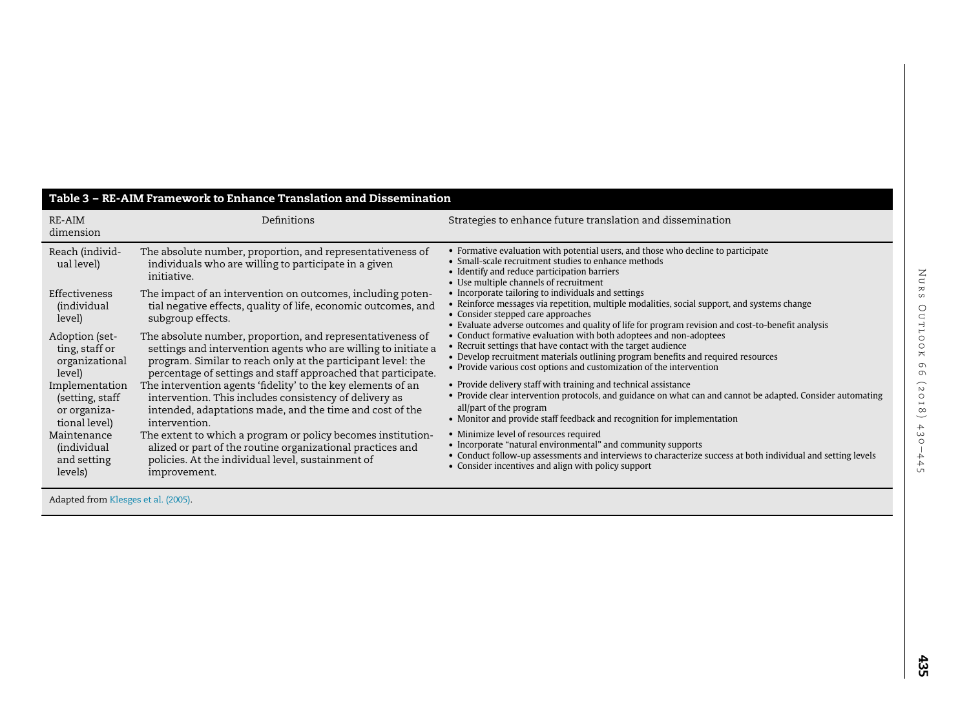| e                                           |
|---------------------------------------------|
| alysis                                      |
|                                             |
|                                             |
| onsider automating                          |
|                                             |
|                                             |
| $\bullet$<br>$\sim$ $\sim$ $\sim$<br>٠<br>٠ |

<span id="page-5-0"></span>

| Table 3 - RE-AIM Framework to Enhance Translation and Dissemination |                                                                                                                                                                                                                                                               |                                                                                                                                                                                                                                                                                                  |  |  |  |
|---------------------------------------------------------------------|---------------------------------------------------------------------------------------------------------------------------------------------------------------------------------------------------------------------------------------------------------------|--------------------------------------------------------------------------------------------------------------------------------------------------------------------------------------------------------------------------------------------------------------------------------------------------|--|--|--|
| RE-AIM<br>dimension                                                 | Definitions                                                                                                                                                                                                                                                   | Strategies to enhance future translation and dissemination                                                                                                                                                                                                                                       |  |  |  |
| Reach (individ-<br>ual level)                                       | The absolute number, proportion, and representativeness of<br>individuals who are willing to participate in a given<br>initiative.                                                                                                                            | • Formative evaluation with potential users, and those who decline to participate<br>• Small-scale recruitment studies to enhance methods<br>• Identify and reduce participation barriers<br>• Use multiple channels of recruitment                                                              |  |  |  |
| Effectiveness<br><i>(individual</i> )<br>level)                     | The impact of an intervention on outcomes, including poten-<br>tial negative effects, quality of life, economic outcomes, and<br>• Consider stepped care approaches<br>subgroup effects.                                                                      | • Incorporate tailoring to individuals and settings<br>• Reinforce messages via repetition, multiple modalities, social support, and systems change<br>• Evaluate adverse outcomes and quality of life for program revision and cost-to-benefit analysis                                         |  |  |  |
| Adoption (set-<br>ting, staff or<br>organizational<br>level)        | The absolute number, proportion, and representativeness of<br>settings and intervention agents who are willing to initiate a<br>program. Similar to reach only at the participant level: the<br>percentage of settings and staff approached that participate. | • Conduct formative evaluation with both adoptees and non-adoptees<br>• Recruit settings that have contact with the target audience<br>• Develop recruitment materials outlining program benefits and required resources<br>• Provide various cost options and customization of the intervention |  |  |  |
| Implementation<br>(setting, staff<br>or organiza-<br>tional level)  | The intervention agents 'fidelity' to the key elements of an<br>intervention. This includes consistency of delivery as<br>intended, adaptations made, and the time and cost of the<br>intervention.                                                           | • Provide delivery staff with training and technical assistance<br>• Provide clear intervention protocols, and guidance on what can and cannot be adapted. Consider automating<br>all/part of the program<br>• Monitor and provide staff feedback and recognition for implementation             |  |  |  |
| Maintenance<br><i>(individual</i> )<br>and setting<br>levels)       | The extent to which a program or policy becomes institution-<br>alized or part of the routine organizational practices and<br>policies. At the individual level, sustainment of<br>improvement.                                                               | • Minimize level of resources required<br>• Incorporate "natural environmental" and community supports<br>• Conduct follow-up assessments and interviews to characterize success at both individual and setting levels<br>• Consider incentives and align with policy support                    |  |  |  |

Adapted from [Klesges](#page-14-11) et al. (2005).

Nurs Outlook 66 (2018) 430 NURS OUTLOOK 66 (2018) 430-445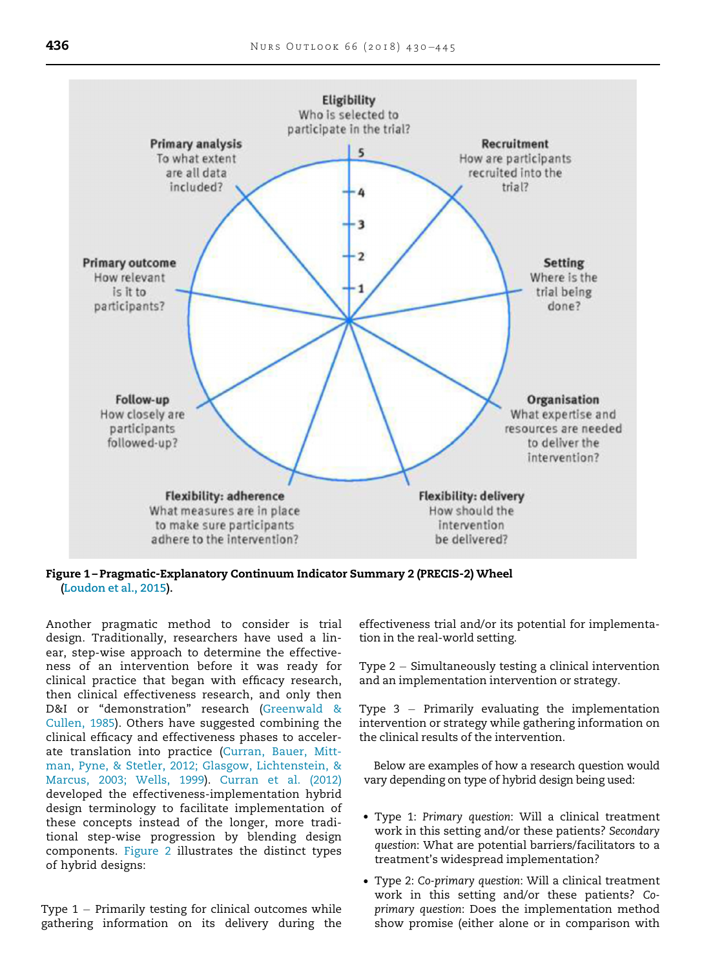<span id="page-6-0"></span>

Figure 1 – Pragmatic-Explanatory Continuum Indicator Summary 2 (PRECIS-2) Wheel ([Loudon et al., 2015\)](#page-14-10).

Another pragmatic method to consider is trial design. Traditionally, researchers have used a linear, step-wise approach to determine the effectiveness of an intervention before it was ready for clinical practice that began with efficacy research, then clinical effectiveness research, and only then D&I or "demonstration" research ([Greenwald &](#page-14-12) [Cullen, 1985\)](#page-14-12). Others have suggested combining the clinical efficacy and effectiveness phases to accelerate translation into practice [\(Curran, Bauer, Mitt](#page-13-17)[man, Pyne, & Stetler, 2012; Glasgow, Lichtenstein, &](#page-13-17) [Marcus, 2003; Wells, 1999](#page-13-17)). [Curran et al. \(2012\)](#page-13-17) developed the effectiveness-implementation hybrid design terminology to facilitate implementation of these concepts instead of the longer, more traditional step-wise progression by blending design components. [Figure 2](#page-7-0) illustrates the distinct types of hybrid designs:

Type  $1$  – Primarily testing for clinical outcomes while gathering information on its delivery during the effectiveness trial and/or its potential for implementation in the real-world setting.

Type  $2 -$  Simultaneously testing a clinical intervention and an implementation intervention or strategy.

Type  $3$  – Primarily evaluating the implementation intervention or strategy while gathering information on the clinical results of the intervention.

Below are examples of how a research question would vary depending on type of hybrid design being used:

- Type 1: Primary question: Will a clinical treatment work in this setting and/or these patients? Secondary question: What are potential barriers/facilitators to a treatment's widespread implementation?
- Type 2: Co-primary question: Will a clinical treatment work in this setting and/or these patients? Coprimary question: Does the implementation method show promise (either alone or in comparison with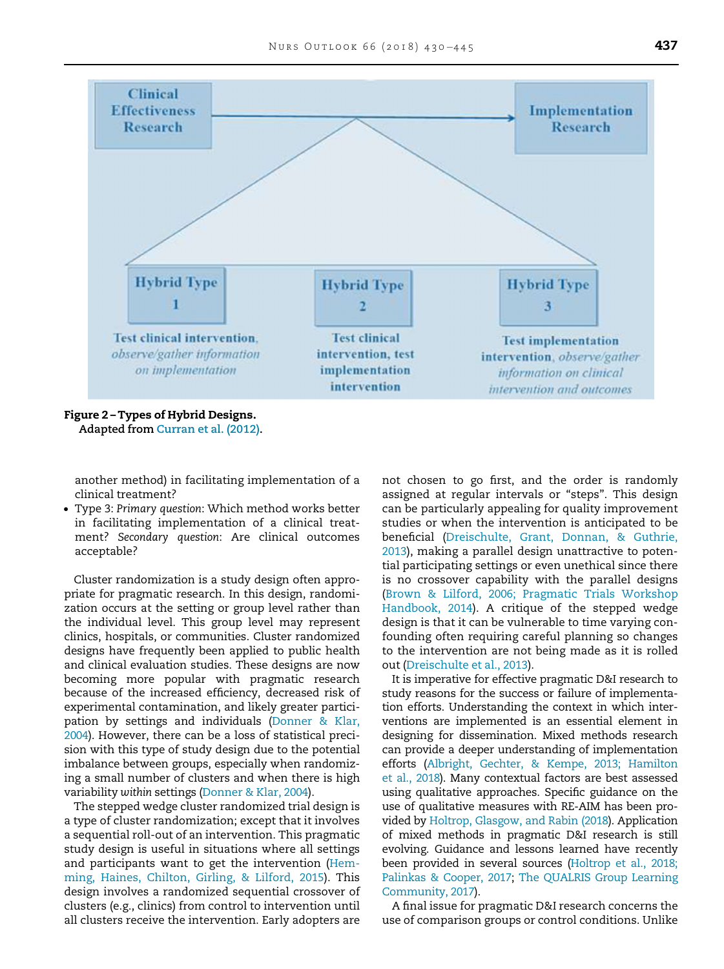<span id="page-7-0"></span>

Figure 2 – Types of Hybrid Designs. Adapted from [Curran et al. \(2012\).](#page-13-17)

another method) in facilitating implementation of a clinical treatment?

 Type 3: Primary question: Which method works better in facilitating implementation of a clinical treatment? Secondary question: Are clinical outcomes acceptable?

Cluster randomization is a study design often appropriate for pragmatic research. In this design, randomization occurs at the setting or group level rather than the individual level. This group level may represent clinics, hospitals, or communities. Cluster randomized designs have frequently been applied to public health and clinical evaluation studies. These designs are now becoming more popular with pragmatic research because of the increased efficiency, decreased risk of experimental contamination, and likely greater participation by settings and individuals ([Donner & Klar,](#page-13-18) [2004](#page-13-18)). However, there can be a loss of statistical precision with this type of study design due to the potential imbalance between groups, especially when randomizing a small number of clusters and when there is high variability within settings ([Donner & Klar, 2004\)](#page-13-18).

The stepped wedge cluster randomized trial design is a type of cluster randomization; except that it involves a sequential roll-out of an intervention. This pragmatic study design is useful in situations where all settings and participants want to get the intervention [\(Hem](#page-14-13)[ming, Haines, Chilton, Girling, & Lilford, 2015\)](#page-14-13). This design involves a randomized sequential crossover of clusters (e.g., clinics) from control to intervention until all clusters receive the intervention. Early adopters are

not chosen to go first, and the order is randomly assigned at regular intervals or "steps". This design can be particularly appealing for quality improvement studies or when the intervention is anticipated to be beneficial ([Dreischulte, Grant, Donnan, & Guthrie,](#page-13-19) [2013\)](#page-13-19), making a parallel design unattractive to potential participating settings or even unethical since there is no crossover capability with the parallel designs ([Brown & Lilford, 2006; Pragmatic Trials Workshop](#page-12-1) [Handbook, 2014\)](#page-12-1). A critique of the stepped wedge design is that it can be vulnerable to time varying confounding often requiring careful planning so changes to the intervention are not being made as it is rolled out [\(Dreischulte et al., 2013\)](#page-13-19).

It is imperative for effective pragmatic D&I research to study reasons for the success or failure of implementation efforts. Understanding the context in which interventions are implemented is an essential element in designing for dissemination. Mixed methods research can provide a deeper understanding of implementation efforts [\(Albright, Gechter, & Kempe, 2013; Hamilton](#page-12-2) [et al., 2018](#page-12-2)). Many contextual factors are best assessed using qualitative approaches. Specific guidance on the use of qualitative measures with RE-AIM has been provided by [Holtrop, Glasgow, and Rabin \(2018](#page-14-14)). Application of mixed methods in pragmatic D&I research is still evolving. Guidance and lessons learned have recently been provided in several sources [\(Holtrop et al., 2018;](#page-14-14) [Palinkas & Cooper, 2017](#page-14-14); [The QUALRIS Group Learning](#page-15-8) [Community, 2017](#page-15-8)).

A final issue for pragmatic D&I research concerns the use of comparison groups or control conditions. Unlike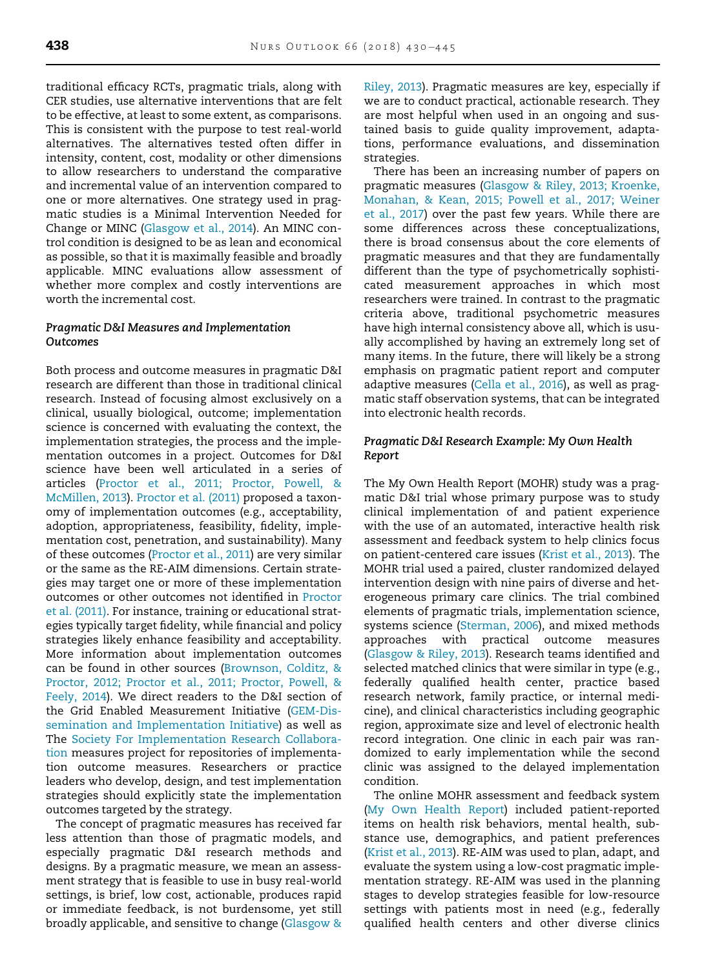traditional efficacy RCTs, pragmatic trials, along with CER studies, use alternative interventions that are felt to be effective, at least to some extent, as comparisons. This is consistent with the purpose to test real-world alternatives. The alternatives tested often differ in intensity, content, cost, modality or other dimensions to allow researchers to understand the comparative and incremental value of an intervention compared to one or more alternatives. One strategy used in pragmatic studies is a Minimal Intervention Needed for Change or MINC ([Glasgow et al., 2014](#page-13-20)). An MINC control condition is designed to be as lean and economical as possible, so that it is maximally feasible and broadly applicable. MINC evaluations allow assessment of whether more complex and costly interventions are worth the incremental cost.

#### Pragmatic D&I Measures and Implementation **Outcomes**

Both process and outcome measures in pragmatic D&I research are different than those in traditional clinical research. Instead of focusing almost exclusively on a clinical, usually biological, outcome; implementation science is concerned with evaluating the context, the implementation strategies, the process and the implementation outcomes in a project. Outcomes for D&I science have been well articulated in a series of articles [\(Proctor et al., 2011; Proctor, Powell, &](#page-14-15) [McMillen, 2013\)](#page-14-15). [Proctor et al. \(2011\)](#page-14-15) proposed a taxonomy of implementation outcomes (e.g., acceptability, adoption, appropriateness, feasibility, fidelity, implementation cost, penetration, and sustainability). Many of these outcomes ([Proctor et al., 2011](#page-14-15)) are very similar or the same as the RE-AIM dimensions. Certain strategies may target one or more of these implementation outcomes or other outcomes not identified in [Proctor](#page-14-15) [et al. \(2011\)](#page-14-15). For instance, training or educational strategies typically target fidelity, while financial and policy strategies likely enhance feasibility and acceptability. More information about implementation outcomes can be found in other sources [\(Brownson, Colditz, &](#page-12-3) [Proctor, 2012; Proctor et al., 2011; Proctor, Powell, &](#page-12-3) [Feely, 2014](#page-12-3)). We direct readers to the D&I section of the Grid Enabled Measurement Initiative ([GEM-Dis](#page-13-21)[semination and Implementation Initiative](#page-13-21)) as well as The [Society For Implementation Research Collabora](#page-15-9)[tion](#page-15-9) measures project for repositories of implementation outcome measures. Researchers or practice leaders who develop, design, and test implementation strategies should explicitly state the implementation outcomes targeted by the strategy.

The concept of pragmatic measures has received far less attention than those of pragmatic models, and especially pragmatic D&I research methods and designs. By a pragmatic measure, we mean an assessment strategy that is feasible to use in busy real-world settings, is brief, low cost, actionable, produces rapid or immediate feedback, is not burdensome, yet still broadly applicable, and sensitive to change ([Glasgow &](#page-13-22) [Riley, 2013](#page-13-22)). Pragmatic measures are key, especially if we are to conduct practical, actionable research. They are most helpful when used in an ongoing and sustained basis to guide quality improvement, adaptations, performance evaluations, and dissemination strategies.

There has been an increasing number of papers on pragmatic measures ([Glasgow & Riley, 2013; Kroenke,](#page-13-22) [Monahan, & Kean, 2015; Powell et al., 2017; Weiner](#page-13-22) [et al., 2017\)](#page-13-22) over the past few years. While there are some differences across these conceptualizations, there is broad consensus about the core elements of pragmatic measures and that they are fundamentally different than the type of psychometrically sophisticated measurement approaches in which most researchers were trained. In contrast to the pragmatic criteria above, traditional psychometric measures have high internal consistency above all, which is usually accomplished by having an extremely long set of many items. In the future, there will likely be a strong emphasis on pragmatic patient report and computer adaptive measures [\(Cella et al., 2016](#page-12-4)), as well as pragmatic staff observation systems, that can be integrated into electronic health records.

#### Pragmatic D&I Research Example: My Own Health Report

The My Own Health Report (MOHR) study was a pragmatic D&I trial whose primary purpose was to study clinical implementation of and patient experience with the use of an automated, interactive health risk assessment and feedback system to help clinics focus on patient-centered care issues [\(Krist et al., 2013](#page-14-5)). The MOHR trial used a paired, cluster randomized delayed intervention design with nine pairs of diverse and heterogeneous primary care clinics. The trial combined elements of pragmatic trials, implementation science, systems science ([Sterman, 2006](#page-15-10)), and mixed methods approaches with practical outcome measures ([Glasgow & Riley, 2013](#page-13-22)). Research teams identified and selected matched clinics that were similar in type (e.g., federally qualified health center, practice based research network, family practice, or internal medicine), and clinical characteristics including geographic region, approximate size and level of electronic health record integration. One clinic in each pair was randomized to early implementation while the second clinic was assigned to the delayed implementation condition.

The online MOHR assessment and feedback system ([My Own Health Report\)](#page-14-16) included patient-reported items on health risk behaviors, mental health, substance use, demographics, and patient preferences ([Krist et al., 2013](#page-14-5)). RE-AIM was used to plan, adapt, and evaluate the system using a low-cost pragmatic implementation strategy. RE-AIM was used in the planning stages to develop strategies feasible for low-resource settings with patients most in need (e.g., federally qualified health centers and other diverse clinics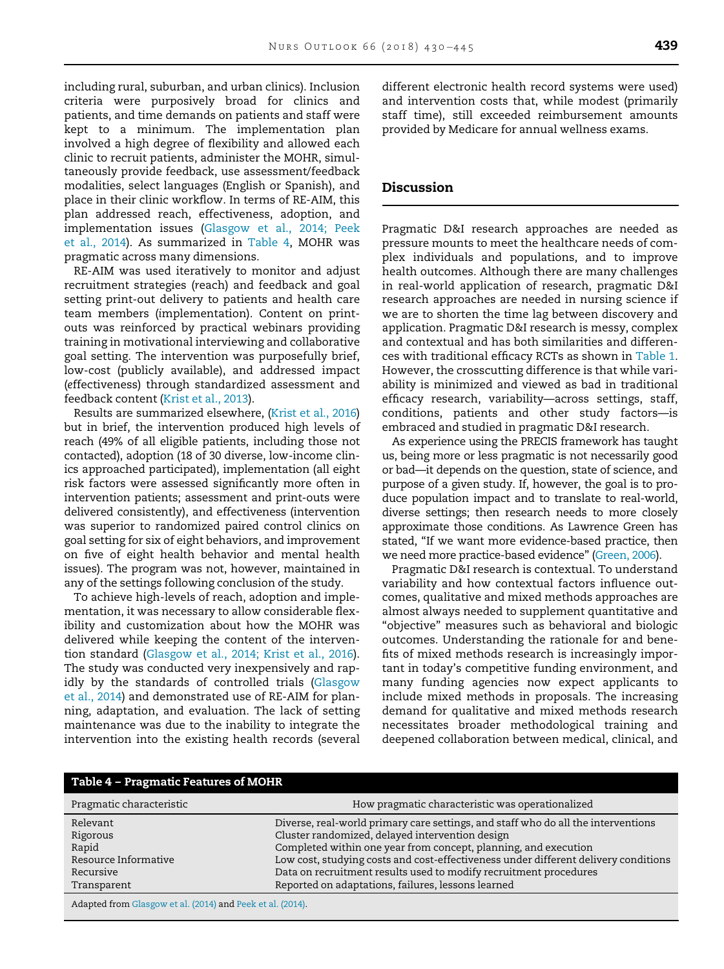including rural, suburban, and urban clinics). Inclusion criteria were purposively broad for clinics and patients, and time demands on patients and staff were kept to a minimum. The implementation plan involved a high degree of flexibility and allowed each clinic to recruit patients, administer the MOHR, simultaneously provide feedback, use assessment/feedback modalities, select languages (English or Spanish), and place in their clinic workflow. In terms of RE-AIM, this plan addressed reach, effectiveness, adoption, and implementation issues [\(Glasgow et al., 2014; Peek](#page-13-20) [et al., 2014\)](#page-13-20). As summarized in [Table 4](#page-9-0), MOHR was pragmatic across many dimensions.

RE-AIM was used iteratively to monitor and adjust recruitment strategies (reach) and feedback and goal setting print-out delivery to patients and health care team members (implementation). Content on printouts was reinforced by practical webinars providing training in motivational interviewing and collaborative goal setting. The intervention was purposefully brief, low-cost (publicly available), and addressed impact (effectiveness) through standardized assessment and feedback content ([Krist et al., 2013\)](#page-14-5).

Results are summarized elsewhere, [\(Krist et al., 2016](#page-14-17)) but in brief, the intervention produced high levels of reach (49% of all eligible patients, including those not contacted), adoption (18 of 30 diverse, low-income clinics approached participated), implementation (all eight risk factors were assessed significantly more often in intervention patients; assessment and print-outs were delivered consistently), and effectiveness (intervention was superior to randomized paired control clinics on goal setting for six of eight behaviors, and improvement on five of eight health behavior and mental health issues). The program was not, however, maintained in any of the settings following conclusion of the study.

To achieve high-levels of reach, adoption and implementation, it was necessary to allow considerable flexibility and customization about how the MOHR was delivered while keeping the content of the intervention standard [\(Glasgow et al., 2014; Krist et al., 2016\)](#page-13-20). The study was conducted very inexpensively and rapidly by the standards of controlled trials ([Glasgow](#page-13-20) [et al., 2014](#page-13-20)) and demonstrated use of RE-AIM for planning, adaptation, and evaluation. The lack of setting maintenance was due to the inability to integrate the intervention into the existing health records (several

different electronic health record systems were used) and intervention costs that, while modest (primarily staff time), still exceeded reimbursement amounts provided by Medicare for annual wellness exams.

## Discussion

Pragmatic D&I research approaches are needed as pressure mounts to meet the healthcare needs of complex individuals and populations, and to improve health outcomes. Although there are many challenges in real-world application of research, pragmatic D&I research approaches are needed in nursing science if we are to shorten the time lag between discovery and application. Pragmatic D&I research is messy, complex and contextual and has both similarities and differences with traditional efficacy RCTs as shown in [Table 1](#page-2-0). However, the crosscutting difference is that while variability is minimized and viewed as bad in traditional efficacy research, variability—across settings, staff, conditions, patients and other study factors—is embraced and studied in pragmatic D&I research.

As experience using the PRECIS framework has taught us, being more or less pragmatic is not necessarily good or bad—it depends on the question, state of science, and purpose of a given study. If, however, the goal is to produce population impact and to translate to real-world, diverse settings; then research needs to more closely approximate those conditions. As Lawrence Green has stated, "If we want more evidence-based practice, then we need more practice-based evidence" [\(Green, 2006\)](#page-13-23).

Pragmatic D&I research is contextual. To understand variability and how contextual factors influence outcomes, qualitative and mixed methods approaches are almost always needed to supplement quantitative and "objective" measures such as behavioral and biologic outcomes. Understanding the rationale for and benefits of mixed methods research is increasingly important in today's competitive funding environment, and many funding agencies now expect applicants to include mixed methods in proposals. The increasing demand for qualitative and mixed methods research necessitates broader methodological training and deepened collaboration between medical, clinical, and

<span id="page-9-0"></span>

| <b>Table 4 – Pragmatic Features of MOHR</b>                                       |                                                                                                                                                                                                                                                                                                                                                                                                                           |  |  |
|-----------------------------------------------------------------------------------|---------------------------------------------------------------------------------------------------------------------------------------------------------------------------------------------------------------------------------------------------------------------------------------------------------------------------------------------------------------------------------------------------------------------------|--|--|
| Pragmatic characteristic                                                          | How pragmatic characteristic was operationalized                                                                                                                                                                                                                                                                                                                                                                          |  |  |
| Relevant<br>Rigorous<br>Rapid<br>Resource Informative<br>Recursive<br>Transparent | Diverse, real-world primary care settings, and staff who do all the interventions<br>Cluster randomized, delayed intervention design<br>Completed within one year from concept, planning, and execution<br>Low cost, studying costs and cost-effectiveness under different delivery conditions<br>Data on recruitment results used to modify recruitment procedures<br>Reported on adaptations, failures, lessons learned |  |  |
| Adapted from Glasgow et al. (2014) and Peek et al. (2014).                        |                                                                                                                                                                                                                                                                                                                                                                                                                           |  |  |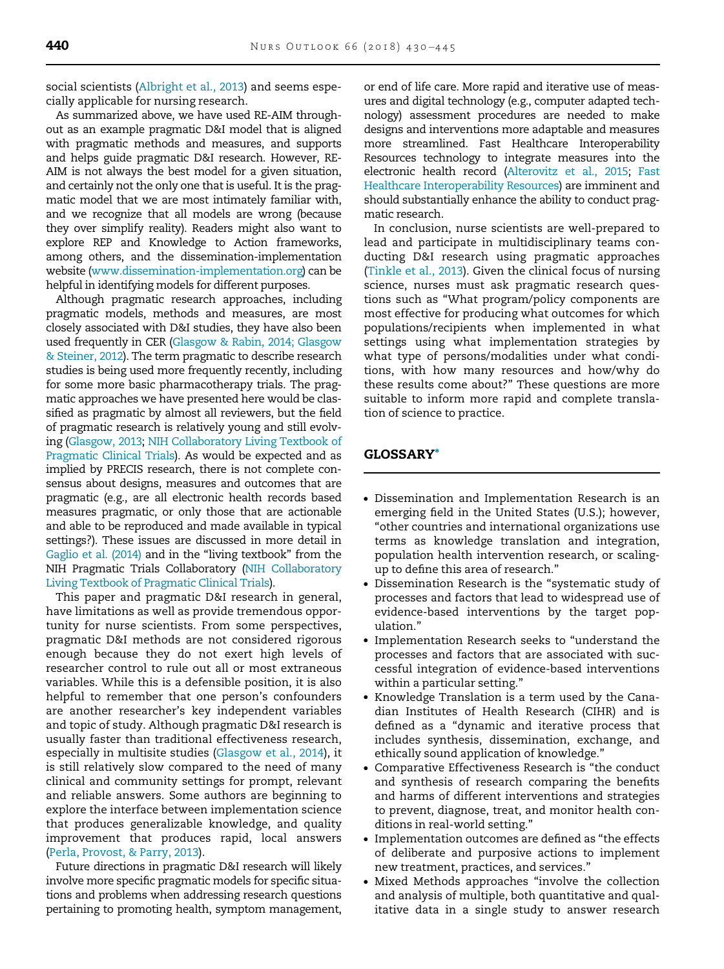social scientists [\(Albright et al., 2013](#page-12-2)) and seems especially applicable for nursing research.

As summarized above, we have used RE-AIM throughout as an example pragmatic D&I model that is aligned with pragmatic methods and measures, and supports and helps guide pragmatic D&I research. However, RE-AIM is not always the best model for a given situation, and certainly not the only one that is useful. It is the pragmatic model that we are most intimately familiar with, and we recognize that all models are wrong (because they over simplify reality). Readers might also want to explore REP and Knowledge to Action frameworks, among others, and the dissemination-implementation website [\(www.dissemination-implementation.org](http://www.dissemination-implementation.org)) can be helpful in identifying models for different purposes.

Although pragmatic research approaches, including pragmatic models, methods and measures, are most closely associated with D&I studies, they have also been used frequently in CER [\(Glasgow & Rabin, 2014; Glasgow](#page-13-4) [& Steiner, 2012](#page-13-4)). The term pragmatic to describe research studies is being used more frequently recently, including for some more basic pharmacotherapy trials. The pragmatic approaches we have presented here would be classified as pragmatic by almost all reviewers, but the field of pragmatic research is relatively young and still evolving [\(Glasgow, 2013;](#page-13-25) [NIH Collaboratory Living Textbook of](#page-14-19) [Pragmatic Clinical Trials](#page-14-19)). As would be expected and as implied by PRECIS research, there is not complete consensus about designs, measures and outcomes that are pragmatic (e.g., are all electronic health records based measures pragmatic, or only those that are actionable and able to be reproduced and made available in typical settings?). These issues are discussed in more detail in [Gaglio et al. \(2014\)](#page-13-11) and in the "living textbook" from the NIH Pragmatic Trials Collaboratory [\(NIH Collaboratory](#page-14-19) [Living Textbook of Pragmatic Clinical Trials\)](#page-14-19).

This paper and pragmatic D&I research in general, have limitations as well as provide tremendous opportunity for nurse scientists. From some perspectives, pragmatic D&I methods are not considered rigorous enough because they do not exert high levels of researcher control to rule out all or most extraneous variables. While this is a defensible position, it is also helpful to remember that one person's confounders are another researcher's key independent variables and topic of study. Although pragmatic D&I research is usually faster than traditional effectiveness research, especially in multisite studies ([Glasgow et al., 2014\)](#page-13-20), it is still relatively slow compared to the need of many clinical and community settings for prompt, relevant and reliable answers. Some authors are beginning to explore the interface between implementation science that produces generalizable knowledge, and quality improvement that produces rapid, local answers ([Perla, Provost, & Parry, 2013](#page-14-20)).

Future directions in pragmatic D&I research will likely involve more specific pragmatic models for specific situations and problems when addressing research questions pertaining to promoting health, symptom management,

or end of life care. More rapid and iterative use of measures and digital technology (e.g., computer adapted technology) assessment procedures are needed to make designs and interventions more adaptable and measures more streamlined. Fast Healthcare Interoperability Resources technology to integrate measures into the electronic health record ([Alterovitz et al., 2015;](#page-12-5) [Fast](#page-13-26) [Healthcare Interoperability Resources\)](#page-13-26) are imminent and should substantially enhance the ability to conduct pragmatic research.

In conclusion, nurse scientists are well-prepared to lead and participate in multidisciplinary teams conducting D&I research using pragmatic approaches ([Tinkle et al., 2013](#page-15-11)). Given the clinical focus of nursing science, nurses must ask pragmatic research questions such as "What program/policy components are most effective for producing what outcomes for which populations/recipients when implemented in what settings using what implementation strategies by what type of persons/modalities under what conditions, with how many resources and how/why do these results come about?" These questions are more suitable to inform more rapid and complete translation of science to practice.

#### GLOSSARY\*

- Dissemination and Implementation Research is an emerging field in the United States (U.S.); however, "other countries and international organizations use terms as knowledge translation and integration, population health intervention research, or scalingup to define this area of research."
- Dissemination Research is the "systematic study of processes and factors that lead to widespread use of evidence-based interventions by the target population."
- Implementation Research seeks to "understand the processes and factors that are associated with successful integration of evidence-based interventions within a particular setting."
- Knowledge Translation is a term used by the Canadian Institutes of Health Research (CIHR) and is defined as a "dynamic and iterative process that includes synthesis, dissemination, exchange, and ethically sound application of knowledge."
- Comparative Effectiveness Research is "the conduct and synthesis of research comparing the benefits and harms of different interventions and strategies to prevent, diagnose, treat, and monitor health conditions in real-world setting."
- Implementation outcomes are defined as "the effects of deliberate and purposive actions to implement new treatment, practices, and services."
- Mixed Methods approaches "involve the collection and analysis of multiple, both quantitative and qualitative data in a single study to answer research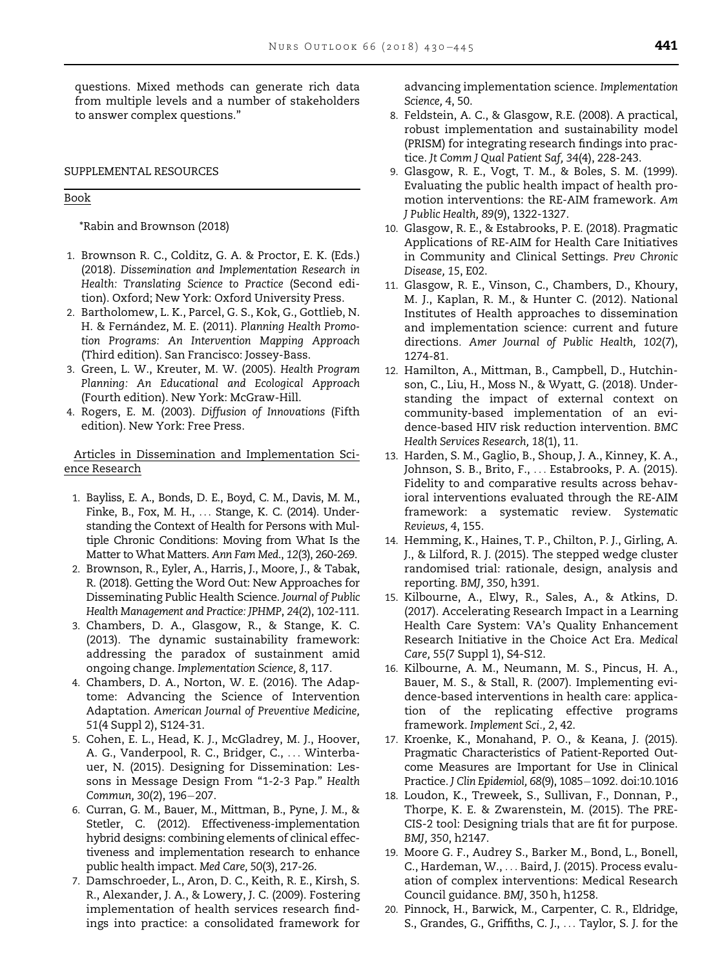questions. Mixed methods can generate rich data from multiple levels and a number of stakeholders to answer complex questions."

#### SUPPLEMENTAL RESOURCES

## Book

\*Rabin and Brownson (2018)

- 1. Brownson R. C., Colditz, G. A. & Proctor, E. K. (Eds.) (2018). Dissemination and Implementation Research in Health: Translating Science to Practice (Second edition). Oxford; New York: Oxford University Press.
- 2. Bartholomew, L. K., Parcel, G. S., Kok, G., Gottlieb, N. H. & Fernández, M. E. (2011). Planning Health Promotion Programs: An Intervention Mapping Approach (Third edition). San Francisco: Jossey-Bass.
- 3. Green, L. W., Kreuter, M. W. (2005). Health Program Planning: An Educational and Ecological Approach (Fourth edition). New York: McGraw-Hill.
- 4. Rogers, E. M. (2003). Diffusion of Innovations (Fifth edition). New York: Free Press.

#### Articles in Dissemination and Implementation Science Research

- 1. Bayliss, E. A., Bonds, D. E., Boyd, C. M., Davis, M. M., Finke, B., Fox, M. H., ... Stange, K. C. (2014). Understanding the Context of Health for Persons with Multiple Chronic Conditions: Moving from What Is the Matter to What Matters. Ann Fam Med., 12(3), 260-269.
- 2. Brownson, R., Eyler, A., Harris, J., Moore, J., & Tabak, R. (2018). Getting the Word Out: New Approaches for Disseminating Public Health Science. Journal of Public Health Management and Practice: JPHMP, 24(2), 102-111.
- 3. Chambers, D. A., Glasgow, R., & Stange, K. C. (2013). The dynamic sustainability framework: addressing the paradox of sustainment amid ongoing change. Implementation Science, 8, 117.
- 4. Chambers, D. A., Norton, W. E. (2016). The Adaptome: Advancing the Science of Intervention Adaptation. American Journal of Preventive Medicine, 51(4 Suppl 2), S124-31.
- 5. Cohen, E. L., Head, K. J., McGladrey, M. J., Hoover, A. G., Vanderpool, R. C., Bridger, C., ... Winterbauer, N. (2015). Designing for Dissemination: Lessons in Message Design From "1-2-3 Pap." Health Commun, 30(2), 196-207.
- 6. Curran, G. M., Bauer, M., Mittman, B., Pyne, J. M., & Stetler, C. (2012). Effectiveness-implementation hybrid designs: combining elements of clinical effectiveness and implementation research to enhance public health impact. Med Care, 50(3), 217-26.
- 7. Damschroeder, L., Aron, D. C., Keith, R. E., Kirsh, S. R., Alexander, J. A., & Lowery, J. C. (2009). Fostering implementation of health services research findings into practice: a consolidated framework for

advancing implementation science. Implementation Science, 4, 50.

- 8. Feldstein, A. C., & Glasgow, R.E. (2008). A practical, robust implementation and sustainability model (PRISM) for integrating research findings into practice. Jt Comm J Qual Patient Saf, 34(4), 228-243.
- 9. Glasgow, R. E., Vogt, T. M., & Boles, S. M. (1999). Evaluating the public health impact of health promotion interventions: the RE-AIM framework. Am J Public Health, 89(9), 1322-1327.
- 10. Glasgow, R. E., & Estabrooks, P. E. (2018). Pragmatic Applications of RE-AIM for Health Care Initiatives in Community and Clinical Settings. Prev Chronic Disease, 15, E02.
- 11. Glasgow, R. E., Vinson, C., Chambers, D., Khoury, M. J., Kaplan, R. M., & Hunter C. (2012). National Institutes of Health approaches to dissemination and implementation science: current and future directions. Amer Journal of Public Health, 102(7), 1274-81.
- 12. Hamilton, A., Mittman, B., Campbell, D., Hutchinson, C., Liu, H., Moss N., & Wyatt, G. (2018). Understanding the impact of external context on community-based implementation of an evidence-based HIV risk reduction intervention. BMC Health Services Research, 18(1), 11.
- 13. Harden, S. M., Gaglio, B., Shoup, J. A., Kinney, K. A., Johnson, S. B., Brito, F., ... Estabrooks, P. A. (2015). Fidelity to and comparative results across behavioral interventions evaluated through the RE-AIM framework: a systematic review. Systematic Reviews, 4, 155.
- 14. Hemming, K., Haines, T. P., Chilton, P. J., Girling, A. J., & Lilford, R. J. (2015). The stepped wedge cluster randomised trial: rationale, design, analysis and reporting. BMJ, 350, h391.
- 15. Kilbourne, A., Elwy, R., Sales, A., & Atkins, D. (2017). Accelerating Research Impact in a Learning Health Care System: VA's Quality Enhancement Research Initiative in the Choice Act Era. Medical Care, 55(7 Suppl 1), S4-S12.
- 16. Kilbourne, A. M., Neumann, M. S., Pincus, H. A., Bauer, M. S., & Stall, R. (2007). Implementing evidence-based interventions in health care: application of the replicating effective programs framework. Implement Sci., 2, 42.
- 17. Kroenke, K., Monahand, P. O., & Keana, J. (2015). Pragmatic Characteristics of Patient-Reported Outcome Measures are Important for Use in Clinical Practice. J Clin Epidemiol, 68(9), 1085-1092. doi:10.1016
- 18. Loudon, K., Treweek, S., Sullivan, F., Donnan, P., Thorpe, K. E. & Zwarenstein, M. (2015). The PRE-CIS-2 tool: Designing trials that are fit for purpose. BMJ, 350, h2147.
- 19. Moore G. F., Audrey S., Barker M., Bond, L., Bonell, C., Hardeman, W., ... Baird, J. (2015). Process evaluation of complex interventions: Medical Research Council guidance. BMJ, 350 h, h1258.
- 20. Pinnock, H., Barwick, M., Carpenter, C. R., Eldridge, S., Grandes, G., Griffiths, C. J., ... Taylor, S. J. for the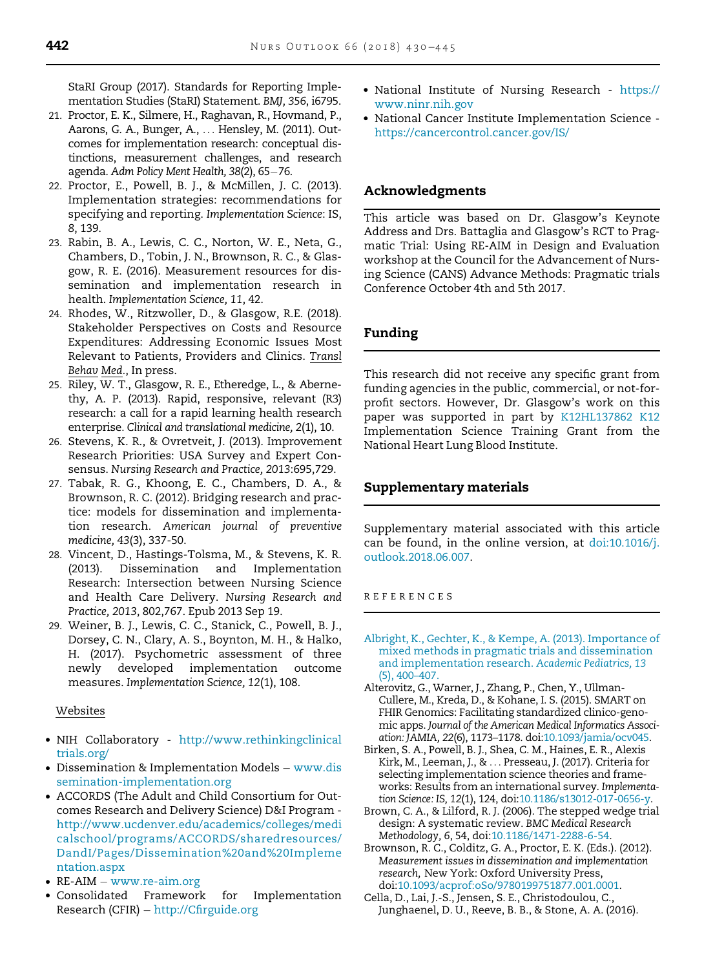StaRI Group (2017). Standards for Reporting Implementation Studies (StaRI) Statement. BMJ, 356, i6795.

- 21. Proctor, E. K., Silmere, H., Raghavan, R., Hovmand, P., Aarons, G. A., Bunger, A., ... Hensley, M. (2011). Outcomes for implementation research: conceptual distinctions, measurement challenges, and research agenda. Adm Policy Ment Health, 38(2), 65-76.
- 22. Proctor, E., Powell, B. J., & McMillen, J. C. (2013). Implementation strategies: recommendations for specifying and reporting. Implementation Science: IS, 8, 139.
- 23. Rabin, B. A., Lewis, C. C., Norton, W. E., Neta, G., Chambers, D., Tobin, J. N., Brownson, R. C., & Glasgow, R. E. (2016). Measurement resources for dissemination and implementation research in health. Implementation Science, 11, 42.
- 24. Rhodes, W., Ritzwoller, D., & Glasgow, R.E. (2018). Stakeholder Perspectives on Costs and Resource Expenditures: Addressing Economic Issues Most Relevant to Patients, Providers and Clinics. Transl Behav Med., In press.
- 25. Riley, W. T., Glasgow, R. E., Etheredge, L., & Abernethy, A. P. (2013). Rapid, responsive, relevant (R3) research: a call for a rapid learning health research enterprise. Clinical and translational medicine, 2(1), 10.
- <span id="page-12-6"></span>26. Stevens, K. R., & Ovretveit, J. (2013). Improvement Research Priorities: USA Survey and Expert Consensus. Nursing Research and Practice, 2013:695,729.
- 27. Tabak, R. G., Khoong, E. C., Chambers, D. A., & Brownson, R. C. (2012). Bridging research and practice: models for dissemination and implementation research. American journal of preventive medicine, 43(3), 337-50.
- 28. Vincent, D., Hastings-Tolsma, M., & Stevens, K. R. (2013). Dissemination and Implementation Research: Intersection between Nursing Science and Health Care Delivery. Nursing Research and Practice, 2013, 802,767. Epub 2013 Sep 19.
- <span id="page-12-2"></span>29. Weiner, B. J., Lewis, C. C., Stanick, C., Powell, B. J., Dorsey, C. N., Clary, A. S., Boynton, M. H., & Halko, H. (2017). Psychometric assessment of three newly developed implementation outcome measures. Implementation Science, 12(1), 108.

#### <span id="page-12-5"></span>Websites

- <span id="page-12-0"></span> NIH Collaboratory - [http://www.rethinkingclinical](http://www.rethinkingclinicaltrials.org/) [trials.org/](http://www.rethinkingclinicaltrials.org/)
- $\bullet$  Dissemination & Implementation Models  $-$  [www.dis](http://www.dissemination-implementation.org) [semination-implementation.org](http://www.dissemination-implementation.org)
- <span id="page-12-1"></span> ACCORDS (The Adult and Child Consortium for Outcomes Research and Delivery Science) D&I Program [http://www.ucdenver.edu/academics/colleges/medi](http://www.ucdenver.edu/academics/colleges/medicalschool/programs/ACCORDS/sharedresources/DandI/Pages/Dissemination%20and%20Implementation.aspx) [calschool/programs/ACCORDS/sharedresources/](http://www.ucdenver.edu/academics/colleges/medicalschool/programs/ACCORDS/sharedresources/DandI/Pages/Dissemination%20and%20Implementation.aspx) [DandI/Pages/Dissemination](http://www.ucdenver.edu/academics/colleges/medicalschool/programs/ACCORDS/sharedresources/DandI/Pages/Dissemination%20and%20Implementation.aspx)%[20and%20Impleme](http://www.ucdenver.edu/academics/colleges/medicalschool/programs/ACCORDS/sharedresources/DandI/Pages/Dissemination%20and%20Implementation.aspx) [ntation.aspx](http://www.ucdenver.edu/academics/colleges/medicalschool/programs/ACCORDS/sharedresources/DandI/Pages/Dissemination%20and%20Implementation.aspx)
- <span id="page-12-3"></span> $\bullet$  RE-AIM  $-$  [www.re-aim.org](http://www.re-aim.org)
- <span id="page-12-4"></span> Consolidated Framework for Implementation Research (CFIR) - <http://Cfirguide.org>
- National Institute of Nursing Research [https://](https://www.ninr.nih.gov) [www.ninr.nih.gov](https://www.ninr.nih.gov)
- National Cancer Institute Implementation Science <https://cancercontrol.cancer.gov/IS/>

## Acknowledgments

This article was based on Dr. Glasgow's Keynote Address and Drs. Battaglia and Glasgow's RCT to Pragmatic Trial: Using RE-AIM in Design and Evaluation workshop at the Council for the Advancement of Nursing Science (CANS) Advance Methods: Pragmatic trials Conference October 4th and 5th 2017.

# Funding

This research did not receive any specific grant from funding agencies in the public, commercial, or not-forprofit sectors. However, Dr. Glasgow's work on this paper was supported in part by [K12HL137862 K12](#page-12-6) Implementation Science Training Grant from the National Heart Lung Blood Institute.

## Supplementary materials

Supplementary material associated with this article can be found, in the online version, at [doi:10.1016/j.](https://doi.org/10.1016/j.outlook.2018.06.007) [outlook.2018.06.007.](https://doi.org/10.1016/j.outlook.2018.06.007)

#### REFERENCES

- [Albright, K., Gechter, K., & Kempe, A. \(2013\). Importance of](http://refhub.elsevier.com/S0029-6554(18)30044-7/sbref0001) [mixed methods in pragmatic trials and dissemination](http://refhub.elsevier.com/S0029-6554(18)30044-7/sbref0001) [and implementation research.](http://refhub.elsevier.com/S0029-6554(18)30044-7/sbref0001) Academic Pediatrics, 13 [\(5\), 400–407.](http://refhub.elsevier.com/S0029-6554(18)30044-7/sbref0001)
- Alterovitz, G., Warner, J., Zhang, P., Chen, Y., Ullman-Cullere, M., Kreda, D., & Kohane, I. S. (2015). SMART on FHIR Genomics: Facilitating standardized clinico-genomic apps. Journal of the American Medical Informatics Association: JAMIA, 22(6), 1173–1178. doi[:10.1093/jamia/ocv045.](http://dx.doi.org/10.1093/jamia/ocv045)
- Birken, S. A., Powell, B. J., Shea, C. M., Haines, E. R., Alexis Kirk, M., Leeman, J., & ... Presseau, J. (2017). Criteria for selecting implementation science theories and frameworks: Results from an international survey. Implementation Science: IS, 12(1), 124, doi:[10.1186/s13012-017-0656-y.](http://dx.doi.org/10.1186/s13012-017-0656-y)
- Brown, C. A., & Lilford, R. J. (2006). The stepped wedge trial design: A systematic review. BMC Medical Research Methodology, 6, 54, doi[:10.1186/1471-2288-6-54.](http://dx.doi.org/10.1186/1471-2288-6-54)
- Brownson, R. C., Colditz, G. A., Proctor, E. K. (Eds.). (2012). Measurement issues in dissemination and implementation research, New York: Oxford University Press, doi[:10.1093/acprof:oSo/9780199751877.001.0001.](http://dx.doi.org/10.1093/acprof:oSo/9780199751877.001.0001)
- Cella, D., Lai, J.-S., Jensen, S. E., Christodoulou, C., Junghaenel, D. U., Reeve, B. B., & Stone, A. A. (2016).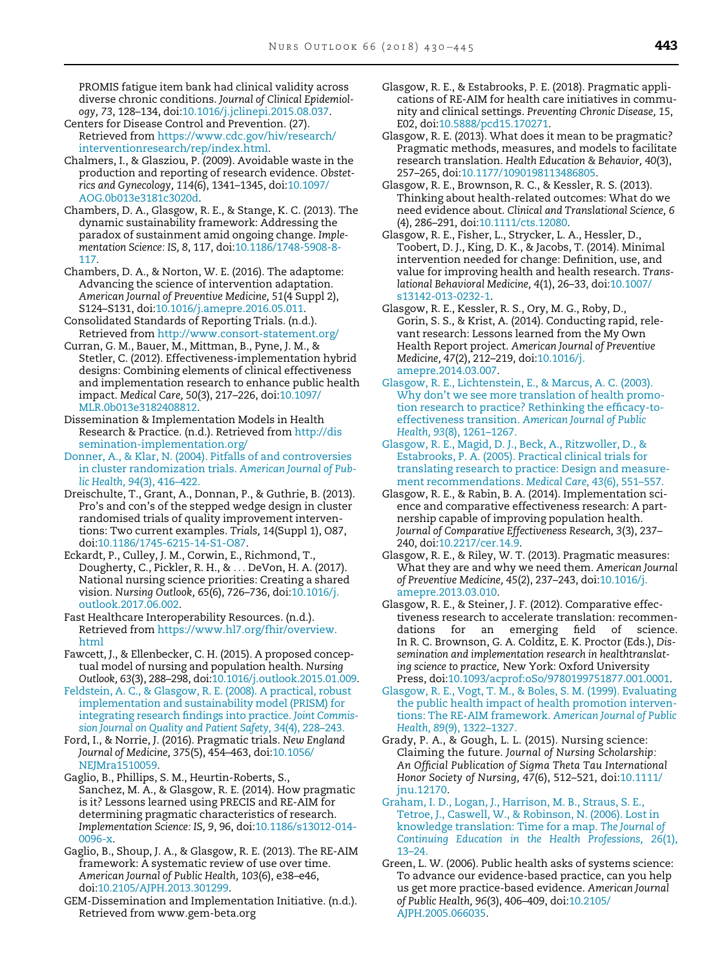<span id="page-13-15"></span>PROMIS fatigue item bank had clinical validity across diverse chronic conditions. Journal of Clinical Epidemiology, 73, 128–134, doi[:10.1016/j.jclinepi.2015.08.037.](http://dx.doi.org/10.1016/j.jclinepi.2015.08.037)

- <span id="page-13-25"></span><span id="page-13-14"></span>Centers for Disease Control and Prevention. (27). Retrieved from [https://www.cdc.gov/hiv/research/](https://www.cdc.gov/hiv/research/interventionresearch/rep/index.html) [interventionresearch/rep/index.html.](https://www.cdc.gov/hiv/research/interventionresearch/rep/index.html)
- <span id="page-13-3"></span><span id="page-13-2"></span>Chalmers, I., & Glasziou, P. (2009). Avoidable waste in the production and reporting of research evidence. Obstetrics and Gynecology, 114(6), 1341–1345, doi:[10.1097/](http://dx.doi.org/10.1097/AOG.0b013e3181c3020d) [AOG.0b013e3181c3020d.](http://dx.doi.org/10.1097/AOG.0b013e3181c3020d)
- <span id="page-13-20"></span>Chambers, D. A., Glasgow, R. E., & Stange, K. C. (2013). The dynamic sustainability framework: Addressing the paradox of sustainment amid ongoing change. Implementation Science: IS, 8, 117, doi[:10.1186/1748-5908-8-](http://dx.doi.org/10.1186/1748-5908-8-117) [117.](http://dx.doi.org/10.1186/1748-5908-8-117)
- <span id="page-13-7"></span>Chambers, D. A., & Norton, W. E. (2016). The adaptome: Advancing the science of intervention adaptation. American Journal of Preventive Medicine, 51(4 Suppl 2), S124–S131, doi:[10.1016/j.amepre.2016.05.011.](http://dx.doi.org/10.1016/j.amepre.2016.05.011)
- <span id="page-13-24"></span><span id="page-13-10"></span>Consolidated Standards of Reporting Trials. (n.d.). Retrieved from <http://www.consort-statement.org/>
- <span id="page-13-17"></span>Curran, G. M., Bauer, M., Mittman, B., Pyne, J. M., & Stetler, C. (2012). Effectiveness-implementation hybrid designs: Combining elements of clinical effectiveness and implementation research to enhance public health impact. Medical Care, 50(3), 217–226, doi[:10.1097/](http://dx.doi.org/10.1097/MLR.0b013e3182408812) [MLR.0b013e3182408812.](http://dx.doi.org/10.1097/MLR.0b013e3182408812)
- <span id="page-13-8"></span>Dissemination & Implementation Models in Health Research & Practice. (n.d.). Retrieved from [http://dis](http://dissemination-implementation.org/) [semination-implementation.org/](http://dissemination-implementation.org/)
- <span id="page-13-18"></span><span id="page-13-6"></span>[Donner, A., & Klar, N. \(2004\). Pitfalls of and controversies](http://refhub.elsevier.com/S0029-6554(18)30044-7/sbref0012) [in cluster randomization trials.](http://refhub.elsevier.com/S0029-6554(18)30044-7/sbref0012) American Journal of Public Health, 94[\(3\), 416–422.](http://refhub.elsevier.com/S0029-6554(18)30044-7/sbref0012)
- <span id="page-13-19"></span><span id="page-13-4"></span>Dreischulte, T., Grant, A., Donnan, P., & Guthrie, B. (2013). Pro's and con's of the stepped wedge design in cluster randomised trials of quality improvement interventions: Two current examples. Trials, 14(Suppl 1), O87, doi[:10.1186/1745-6215-14-S1-O87.](http://dx.doi.org/10.1186/1745-6215-14-S1-O87)
- <span id="page-13-22"></span><span id="page-13-0"></span>Eckardt, P., Culley, J. M., Corwin, E., Richmond, T., Dougherty, C., Pickler, R. H., & ... DeVon, H. A. (2017). National nursing science priorities: Creating a shared vision. Nursing Outlook, 65(6), 726–736, doi:[10.1016/j.](http://dx.doi.org/10.1016/j.outlook.2017.06.002) [outlook.2017.06.002.](http://dx.doi.org/10.1016/j.outlook.2017.06.002)
- <span id="page-13-26"></span>Fast Healthcare Interoperability Resources. (n.d.). Retrieved from [https://www.hl7.org/fhir/overview.](https://www.hl7.org/fhir/overview.html) [html](https://www.hl7.org/fhir/overview.html)
- Fawcett, J., & Ellenbecker, C. H. (2015). A proposed conceptual model of nursing and population health. Nursing Outlook, 63(3), 288–298, doi[:10.1016/j.outlook.2015.01.009.](http://dx.doi.org/10.1016/j.outlook.2015.01.009)
- <span id="page-13-16"></span><span id="page-13-12"></span>[Feldstein, A. C., & Glasgow, R. E. \(2008\). A practical, robust](http://refhub.elsevier.com/S0029-6554(18)30044-7/sbref0016) [implementation and sustainability model \(PRISM\) for](http://refhub.elsevier.com/S0029-6554(18)30044-7/sbref0016) [integrating research findings into practice.](http://refhub.elsevier.com/S0029-6554(18)30044-7/sbref0016) Joint Commis[sion Journal on Quality and Patient Safety, 34](http://refhub.elsevier.com/S0029-6554(18)30044-7/sbref0016)(4), 228–243.
- <span id="page-13-5"></span><span id="page-13-1"></span>Ford, I., & Norrie, J. (2016). Pragmatic trials. New England Journal of Medicine, 375(5), 454–463, doi[:10.1056/](http://dx.doi.org/10.1056/NEJMra1510059) [NEJMra1510059.](http://dx.doi.org/10.1056/NEJMra1510059)
- <span id="page-13-13"></span><span id="page-13-11"></span>Gaglio, B., Phillips, S. M., Heurtin-Roberts, S., Sanchez, M. A., & Glasgow, R. E. (2014). How pragmatic is it? Lessons learned using PRECIS and RE-AIM for determining pragmatic characteristics of research. Implementation Science: IS, 9, 96, doi[:10.1186/s13012-014-](http://dx.doi.org/10.1186/s13012-014-0096-x) [0096-x.](http://dx.doi.org/10.1186/s13012-014-0096-x)
- <span id="page-13-23"></span><span id="page-13-9"></span>Gaglio, B., Shoup, J. A., & Glasgow, R. E. (2013). The RE-AIM framework: A systematic review of use over time. American Journal of Public Health, 103(6), e38–e46, doi[:10.2105/AJPH.2013.301299.](http://dx.doi.org/10.2105/AJPH.2013.301299)
- <span id="page-13-21"></span>GEM-Dissemination and Implementation Initiative. (n.d.). Retrieved from www.gem-beta.org
- Glasgow, R. E., & Estabrooks, P. E. (2018). Pragmatic applications of RE-AIM for health care initiatives in community and clinical settings. Preventing Chronic Disease, 15, E02, doi:[10.5888/pcd15.170271.](http://dx.doi.org/10.5888/pcd15.170271)
- Glasgow, R. E. (2013). What does it mean to be pragmatic? Pragmatic methods, measures, and models to facilitate research translation. Health Education & Behavior, 40(3), 257–265, doi:[10.1177/1090198113486805.](http://dx.doi.org/10.1177/1090198113486805)
- Glasgow, R. E., Brownson, R. C., & Kessler, R. S. (2013). Thinking about health-related outcomes: What do we need evidence about. Clinical and Translational Science, 6 (4), 286–291, doi[:10.1111/cts.12080.](http://dx.doi.org/10.1111/cts.12080)
- Glasgow, R. E., Fisher, L., Strycker, L. A., Hessler, D., Toobert, D. J., King, D. K., & Jacobs, T. (2014). Minimal intervention needed for change: Definition, use, and value for improving health and health research. Translational Behavioral Medicine, 4(1), 26–33, doi[:10.1007/](http://dx.doi.org/10.1007/s13142-013-0232-1) [s13142-013-0232-1.](http://dx.doi.org/10.1007/s13142-013-0232-1)
- Glasgow, R. E., Kessler, R. S., Ory, M. G., Roby, D., Gorin, S. S., & Krist, A. (2014). Conducting rapid, relevant research: Lessons learned from the My Own Health Report project. American Journal of Preventive Medicine, 47(2), 212–219, doi[:10.1016/j.](http://dx.doi.org/10.1016/j.amepre.2014.03.007) [amepre.2014.03.007.](http://dx.doi.org/10.1016/j.amepre.2014.03.007)
- [Glasgow, R. E., Lichtenstein, E., & Marcus, A. C. \(2003\).](http://refhub.elsevier.com/S0029-6554(18)30044-7/sbref0025) [Why don't we see more translation of health promo](http://refhub.elsevier.com/S0029-6554(18)30044-7/sbref0025)[tion research to practice? Rethinking the efficacy-to](http://refhub.elsevier.com/S0029-6554(18)30044-7/sbref0025)effectiveness transition. [American Journal of Public](http://refhub.elsevier.com/S0029-6554(18)30044-7/sbref0025) Health, 93[\(8\), 1261–1267.](http://refhub.elsevier.com/S0029-6554(18)30044-7/sbref0025)
- [Glasgow, R. E., Magid, D. J., Beck, A., Ritzwoller, D., &](http://refhub.elsevier.com/S0029-6554(18)30044-7/sbref0026) [Estabrooks, P. A. \(2005\). Practical clinical trials for](http://refhub.elsevier.com/S0029-6554(18)30044-7/sbref0026) [translating research to practice: Design and measure](http://refhub.elsevier.com/S0029-6554(18)30044-7/sbref0026)[ment recommendations.](http://refhub.elsevier.com/S0029-6554(18)30044-7/sbref0026) Medical Care, 43(6), 551–557.
- Glasgow, R. E., & Rabin, B. A. (2014). Implementation science and comparative effectiveness research: A partnership capable of improving population health. Journal of Comparative Effectiveness Research, 3(3), 237– 240, doi:[10.2217/cer.14.9.](http://dx.doi.org/10.2217/cer.14.9)
- Glasgow, R. E., & Riley, W. T. (2013). Pragmatic measures: What they are and why we need them. American Journal of Preventive Medicine, 45(2), 237–243, doi:[10.1016/j.](http://dx.doi.org/10.1016/j.amepre.2013.03.010) [amepre.2013.03.010.](http://dx.doi.org/10.1016/j.amepre.2013.03.010)
- Glasgow, R. E., & Steiner, J. F. (2012). Comparative effectiveness research to accelerate translation: recommendations for an emerging field of science. In R. C. Brownson, G. A. Colditz, E. K. Proctor (Eds.), Dissemination and implementation research in healthtranslating science to practice, New York: Oxford University Press, doi[:10.1093/acprof:oSo/9780199751877.001.0001.](http://dx.doi.org/10.1093/acprof:oSo/9780199751877.001.0001)
- [Glasgow, R. E., Vogt, T. M., & Boles, S. M. \(1999\). Evaluating](http://refhub.elsevier.com/S0029-6554(18)30044-7/sbref0030) [the public health impact of health promotion interven](http://refhub.elsevier.com/S0029-6554(18)30044-7/sbref0030)[tions: The RE-AIM framework.](http://refhub.elsevier.com/S0029-6554(18)30044-7/sbref0030) American Journal of Public Health, 89[\(9\), 1322–1327.](http://refhub.elsevier.com/S0029-6554(18)30044-7/sbref0030)
- Grady, P. A., & Gough, L. L. (2015). Nursing science: Claiming the future. Journal of Nursing Scholarship: An Official Publication of Sigma Theta Tau International Honor Society of Nursing, 47(6), 512–521, doi[:10.1111/](http://dx.doi.org/10.1111/jnu.12170) [jnu.12170.](http://dx.doi.org/10.1111/jnu.12170)
- [Graham, I. D., Logan, J., Harrison, M. B., Straus, S. E.,](http://refhub.elsevier.com/S0029-6554(18)30044-7/sbref0032) [Tetroe, J., Caswell, W., & Robinson, N. \(2006\). Lost in](http://refhub.elsevier.com/S0029-6554(18)30044-7/sbref0032) [knowledge translation: Time for a map.](http://refhub.elsevier.com/S0029-6554(18)30044-7/sbref0032) The Journal of [Continuing Education in the Health Professions, 26](http://refhub.elsevier.com/S0029-6554(18)30044-7/sbref0032)(1), [13–24.](http://refhub.elsevier.com/S0029-6554(18)30044-7/sbref0032)
- Green, L. W. (2006). Public health asks of systems science: To advance our evidence-based practice, can you help us get more practice-based evidence. American Journal of Public Health, 96(3), 406–409, doi:[10.2105/](http://dx.doi.org/10.2105/AJPH.2005.066035) [AJPH.2005.066035.](http://dx.doi.org/10.2105/AJPH.2005.066035)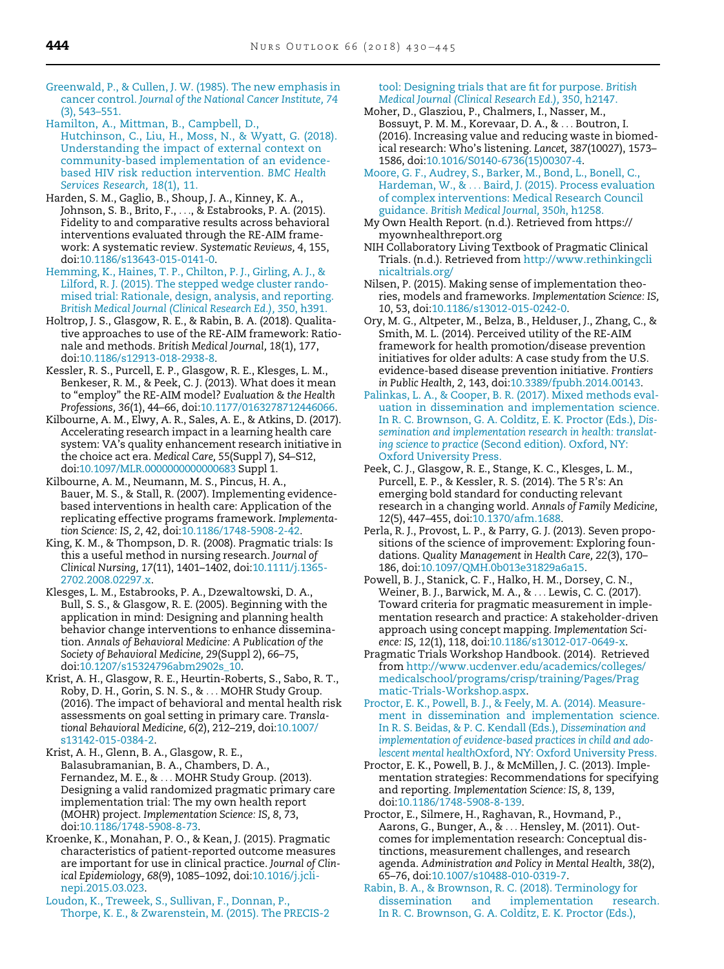<span id="page-14-12"></span>[Greenwald, P., & Cullen, J. W. \(1985\). The new emphasis in](http://refhub.elsevier.com/S0029-6554(18)30044-7/sbref0034) cancer control. [Journal of the National Cancer Institute, 74](http://refhub.elsevier.com/S0029-6554(18)30044-7/sbref0034) [\(3\), 543–551.](http://refhub.elsevier.com/S0029-6554(18)30044-7/sbref0034)

[Hamilton, A., Mittman, B., Campbell, D.,](http://refhub.elsevier.com/S0029-6554(18)30044-7/sbref0035) [Hutchinson, C., Liu, H., Moss, N., & Wyatt, G. \(2018\).](http://refhub.elsevier.com/S0029-6554(18)30044-7/sbref0035) [Understanding the impact of external context on](http://refhub.elsevier.com/S0029-6554(18)30044-7/sbref0035) [community-based implementation of an evidence](http://refhub.elsevier.com/S0029-6554(18)30044-7/sbref0035)[based HIV risk reduction intervention.](http://refhub.elsevier.com/S0029-6554(18)30044-7/sbref0035) BMC Health [Services Research, 18](http://refhub.elsevier.com/S0029-6554(18)30044-7/sbref0035)(1), 11.

<span id="page-14-16"></span><span id="page-14-3"></span>Harden, S. M., Gaglio, B., Shoup, J. A., Kinney, K. A., Johnson, S. B., Brito, F., ..., & Estabrooks, P. A. (2015). Fidelity to and comparative results across behavioral interventions evaluated through the RE-AIM framework: A systematic review. Systematic Reviews, 4, 155, doi[:10.1186/s13643-015-0141-0.](http://dx.doi.org/10.1186/s13643-015-0141-0)

<span id="page-14-19"></span><span id="page-14-13"></span><span id="page-14-6"></span>[Hemming, K., Haines, T. P., Chilton, P. J., Girling, A. J., &](http://refhub.elsevier.com/S0029-6554(18)30044-7/sbref0037) [Lilford, R. J. \(2015\). The stepped wedge cluster rando](http://refhub.elsevier.com/S0029-6554(18)30044-7/sbref0037)[mised trial: Rationale, design, analysis, and reporting.](http://refhub.elsevier.com/S0029-6554(18)30044-7/sbref0037) [British Medical Journal \(Clinical Research Ed.\), 350](http://refhub.elsevier.com/S0029-6554(18)30044-7/sbref0037), h391.

<span id="page-14-14"></span><span id="page-14-8"></span>Holtrop, J. S., Glasgow, R. E., & Rabin, B. A. (2018). Qualitative approaches to use of the RE-AIM framework: Rationale and methods. British Medical Journal, 18(1), 177, doi[:10.1186/s12913-018-2938-8.](http://dx.doi.org/10.1186/s12913-018-2938-8)

<span id="page-14-9"></span>Kessler, R. S., Purcell, E. P., Glasgow, R. E., Klesges, L. M., Benkeser, R. M., & Peek, C. J. (2013). What does it mean to "employ" the RE-AIM model? Evaluation & the Health Professions, 36(1), 44–66, doi[:10.1177/0163278712446066.](http://dx.doi.org/10.1177/0163278712446066)

<span id="page-14-0"></span>Kilbourne, A. M., Elwy, A. R., Sales, A. E., & Atkins, D. (2017). Accelerating research impact in a learning health care system: VA's quality enhancement research initiative in the choice act era. Medical Care, 55(Suppl 7), S4–S12, doi[:10.1097/MLR.0000000000000683](http://dx.doi.org/10.1097/MLR.0000000000000683) Suppl 1.

<span id="page-14-18"></span><span id="page-14-7"></span>Kilbourne, A. M., Neumann, M. S., Pincus, H. A., Bauer, M. S., & Stall, R. (2007). Implementing evidencebased interventions in health care: Application of the replicating effective programs framework. Implementation Science: IS, 2, 42, doi:[10.1186/1748-5908-2-42.](http://dx.doi.org/10.1186/1748-5908-2-42)

<span id="page-14-20"></span><span id="page-14-1"></span>King, K. M., & Thompson, D. R. (2008). Pragmatic trials: Is this a useful method in nursing research. Journal of Clinical Nursing, 17(11), 1401–1402, doi[:10.1111/j.1365-](http://dx.doi.org/10.1111/j.1365-2702.2008.02297.x) [2702.2008.02297.x.](http://dx.doi.org/10.1111/j.1365-2702.2008.02297.x)

Klesges, L. M., Estabrooks, P. A., Dzewaltowski, D. A., Bull, S. S., & Glasgow, R. E. (2005). Beginning with the application in mind: Designing and planning health behavior change interventions to enhance dissemination. Annals of Behavioral Medicine: A Publication of the Society of Behavioral Medicine, 29(Suppl 2), 66–75, doi[:10.1207/s15324796abm2902s\\_10.](http://dx.doi.org/10.1207/s15324796abm2902s_10)

<span id="page-14-17"></span><span id="page-14-4"></span>Krist, A. H., Glasgow, R. E., Heurtin-Roberts, S., Sabo, R. T., Roby, D. H., Gorin, S. N. S., & ... MOHR Study Group. (2016). The impact of behavioral and mental health risk assessments on goal setting in primary care. Translational Behavioral Medicine, 6(2), 212–219, doi:[10.1007/](http://dx.doi.org/10.1007/s13142-015-0384-2) [s13142-015-0384-2.](http://dx.doi.org/10.1007/s13142-015-0384-2)

<span id="page-14-5"></span>Krist, A. H., Glenn, B. A., Glasgow, R. E., Balasubramanian, B. A., Chambers, D. A., Fernandez, M. E., & ... MOHR Study Group. (2013). Designing a valid randomized pragmatic primary care implementation trial: The my own health report (MOHR) project. Implementation Science: IS, 8, 73, doi[:10.1186/1748-5908-8-73.](http://dx.doi.org/10.1186/1748-5908-8-73)

<span id="page-14-15"></span>Kroenke, K., Monahan, P. O., & Kean, J. (2015). Pragmatic characteristics of patient-reported outcome measures are important for use in clinical practice. Journal of Clinical Epidemiology, 68(9), 1085–1092, doi[:10.1016/j.jcli](http://dx.doi.org/10.1016/j.jclinepi.2015.03.023)[nepi.2015.03.023.](http://dx.doi.org/10.1016/j.jclinepi.2015.03.023)

<span id="page-14-10"></span><span id="page-14-2"></span>[Loudon, K., Treweek, S., Sullivan, F., Donnan, P.,](http://refhub.elsevier.com/S0029-6554(18)30044-7/sbref0047) [Thorpe, K. E., & Zwarenstein, M. \(2015\). The PRECIS-2](http://refhub.elsevier.com/S0029-6554(18)30044-7/sbref0047) <span id="page-14-11"></span>[tool: Designing trials that are fit for purpose.](http://refhub.elsevier.com/S0029-6554(18)30044-7/sbref0047) British [Medical Journal \(Clinical Research Ed.\), 350](http://refhub.elsevier.com/S0029-6554(18)30044-7/sbref0047), h2147.

Moher, D., Glasziou, P., Chalmers, I., Nasser, M., Bossuyt, P. M. M., Korevaar, D. A., & ... Boutron, I. (2016). Increasing value and reducing waste in biomedical research: Who's listening. Lancet, 387(10027), 1573– 1586, doi:[10.1016/S0140-6736\(15\)00307-4.](http://dx.doi.org/10.1016/S0140-6736(15)00307-4)

[Moore, G. F., Audrey, S., Barker, M., Bond, L., Bonell, C.,](http://refhub.elsevier.com/S0029-6554(18)30044-7/sbref0049) [Hardeman, W., &](http://refhub.elsevier.com/S0029-6554(18)30044-7/sbref0049) ... [Baird, J. \(2015\). Process evaluation](http://refhub.elsevier.com/S0029-6554(18)30044-7/sbref0049) [of complex interventions: Medical Research Council](http://refhub.elsevier.com/S0029-6554(18)30044-7/sbref0049) guidance. [British Medical Journal, 350h](http://refhub.elsevier.com/S0029-6554(18)30044-7/sbref0049), h1258.

My Own Health Report. (n.d.). Retrieved from https:// myownhealthreport.org

NIH Collaboratory Living Textbook of Pragmatic Clinical Trials. (n.d.). Retrieved from [http://www.rethinkingcli](http://www.rethinkingclinicaltrials.org/) [nicaltrials.org/](http://www.rethinkingclinicaltrials.org/)

Nilsen, P. (2015). Making sense of implementation theories, models and frameworks. Implementation Science: IS, 10, 53, doi:[10.1186/s13012-015-0242-0.](http://dx.doi.org/10.1186/s13012-015-0242-0)

- Ory, M. G., Altpeter, M., Belza, B., Helduser, J., Zhang, C., & Smith, M. L. (2014). Perceived utility of the RE-AIM framework for health promotion/disease prevention initiatives for older adults: A case study from the U.S. evidence-based disease prevention initiative. Frontiers in Public Health, 2, 143, doi:[10.3389/fpubh.2014.00143.](http://dx.doi.org/10.3389/fpubh.2014.00143)
- [Palinkas, L. A., & Cooper, B. R. \(2017\). Mixed methods eval](http://refhub.elsevier.com/S0029-6554(18)30044-7/sbref0052)[uation in dissemination and implementation science.](http://refhub.elsevier.com/S0029-6554(18)30044-7/sbref0052) [In R. C. Brownson, G. A. Colditz, E. K. Proctor \(Eds.\),](http://refhub.elsevier.com/S0029-6554(18)30044-7/sbref0052) Dis[semination and implementation research in health: translat](http://refhub.elsevier.com/S0029-6554(18)30044-7/sbref0052)ing science to practice [\(Second edition\). Oxford, NY:](http://refhub.elsevier.com/S0029-6554(18)30044-7/sbref0052) [Oxford University Press.](http://refhub.elsevier.com/S0029-6554(18)30044-7/sbref0052)
- Peek, C. J., Glasgow, R. E., Stange, K. C., Klesges, L. M., Purcell, E. P., & Kessler, R. S. (2014). The 5 R's: An emerging bold standard for conducting relevant research in a changing world. Annals of Family Medicine, 12(5), 447–455, doi:[10.1370/afm.1688.](http://dx.doi.org/10.1370/afm.1688)
- Perla, R. J., Provost, L. P., & Parry, G. J. (2013). Seven propositions of the science of improvement: Exploring foundations. Quality Management in Health Care, 22(3), 170– 186, doi:[10.1097/QMH.0b013e31829a6a15.](http://dx.doi.org/10.1097/QMH.0b013e31829a6a15)
- Powell, B. J., Stanick, C. F., Halko, H. M., Dorsey, C. N., Weiner, B. J., Barwick, M. A., & ... Lewis, C. C. (2017). Toward criteria for pragmatic measurement in implementation research and practice: A stakeholder-driven approach using concept mapping. Implementation Science: IS, 12(1), 118, doi[:10.1186/s13012-017-0649-x.](http://dx.doi.org/10.1186/s13012-017-0649-x)
- Pragmatic Trials Workshop Handbook. (2014). Retrieved from [http://www.ucdenver.edu/academics/colleges/](http://www.ucdenver.edu/academics/colleges/medicalschool/programs/crisp/training/Pages/Pragmatic-Trials-Workshop.aspx) [medicalschool/programs/crisp/training/Pages/Prag](http://www.ucdenver.edu/academics/colleges/medicalschool/programs/crisp/training/Pages/Pragmatic-Trials-Workshop.aspx) [matic-Trials-Workshop.aspx](http://www.ucdenver.edu/academics/colleges/medicalschool/programs/crisp/training/Pages/Pragmatic-Trials-Workshop.aspx).

[Proctor, E. K., Powell, B. J., & Feely, M. A. \(2014\). Measure](http://refhub.elsevier.com/S0029-6554(18)30044-7/sbref0057)[ment in dissemination and implementation science.](http://refhub.elsevier.com/S0029-6554(18)30044-7/sbref0057) [In R. S. Beidas, & P. C. Kendall \(Eds.\),](http://refhub.elsevier.com/S0029-6554(18)30044-7/sbref0057) Dissemination and [implementation of evidence-based practices in child and ado](http://refhub.elsevier.com/S0029-6554(18)30044-7/sbref0057)lescent mental health[Oxford, NY: Oxford University Press.](http://refhub.elsevier.com/S0029-6554(18)30044-7/sbref0057)

Proctor, E. K., Powell, B. J., & McMillen, J. C. (2013). Implementation strategies: Recommendations for specifying and reporting. Implementation Science: IS, 8, 139, doi[:10.1186/1748-5908-8-139.](http://dx.doi.org/10.1186/1748-5908-8-139)

Proctor, E., Silmere, H., Raghavan, R., Hovmand, P., Aarons, G., Bunger, A., & ... Hensley, M. (2011). Outcomes for implementation research: Conceptual distinctions, measurement challenges, and research agenda. Administration and Policy in Mental Health, 38(2), 65–76, doi:[10.1007/s10488-010-0319-7.](http://dx.doi.org/10.1007/s10488-010-0319-7)

[Rabin, B. A., & Brownson, R. C. \(2018\). Terminology for](http://refhub.elsevier.com/S0029-6554(18)30044-7/sbref0060) [dissemination and implementation research.](http://refhub.elsevier.com/S0029-6554(18)30044-7/sbref0060) [In R. C. Brownson, G. A. Colditz, E. K. Proctor \(Eds.\),](http://refhub.elsevier.com/S0029-6554(18)30044-7/sbref0060)